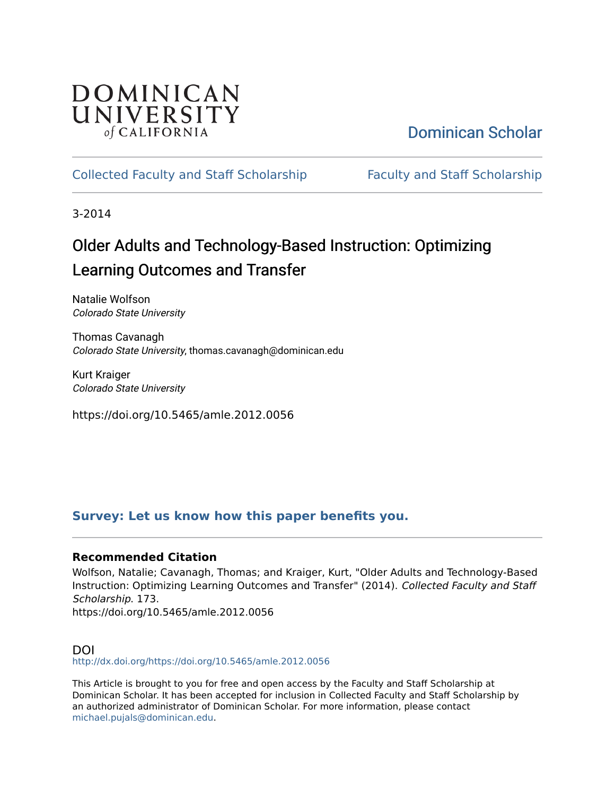

## [Dominican Scholar](https://scholar.dominican.edu/)

## [Collected Faculty and Staff Scholarship](https://scholar.dominican.edu/all-faculty) [Faculty and Staff Scholarship](https://scholar.dominican.edu/faculty-scholarship)

3-2014

# Older Adults and Technology-Based Instruction: Optimizing Learning Outcomes and Transfer

Natalie Wolfson Colorado State University

Thomas Cavanagh Colorado State University, thomas.cavanagh@dominican.edu

Kurt Kraiger Colorado State University

https://doi.org/10.5465/amle.2012.0056

### **[Survey: Let us know how this paper benefits you.](https://dominican.libwizard.com/dominican-scholar-feedback)**

#### **Recommended Citation**

Wolfson, Natalie; Cavanagh, Thomas; and Kraiger, Kurt, "Older Adults and Technology-Based Instruction: Optimizing Learning Outcomes and Transfer" (2014). Collected Faculty and Staff Scholarship. 173. https://doi.org/10.5465/amle.2012.0056

#### DOI

<http://dx.doi.org/https://doi.org/10.5465/amle.2012.0056>

This Article is brought to you for free and open access by the Faculty and Staff Scholarship at Dominican Scholar. It has been accepted for inclusion in Collected Faculty and Staff Scholarship by an authorized administrator of Dominican Scholar. For more information, please contact [michael.pujals@dominican.edu.](mailto:michael.pujals@dominican.edu)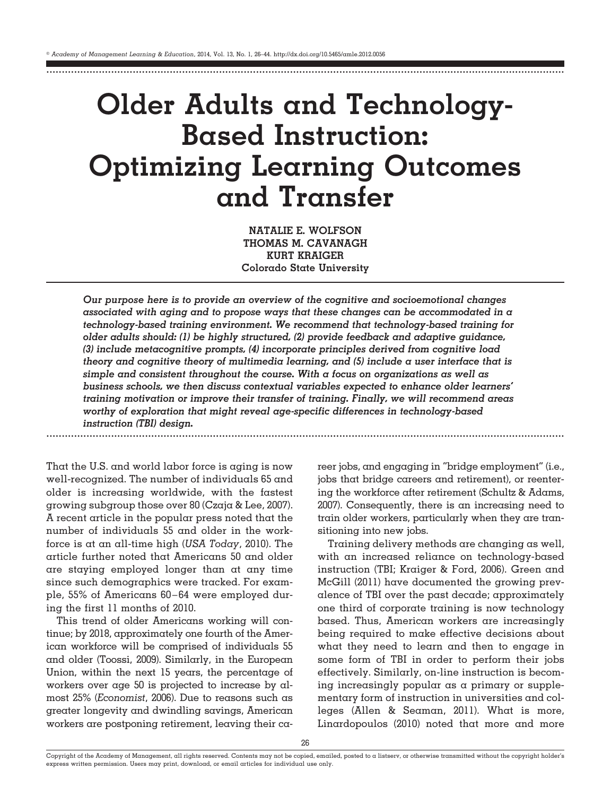# **Older Adults and Technology-Based Instruction: Optimizing Learning Outcomes and Transfer**

........................................................................................................................................................................

**NATALIE E. WOLFSON THOMAS M. CAVANAGH KURT KRAIGER Colorado State University**

*Our purpose here is to provide an overview of the cognitive and socioemotional changes associated with aging and to propose ways that these changes can be accommodated in a technology-based training environment. We recommend that technology-based training for older adults should: (1) be highly structured, (2) provide feedback and adaptive guidance, (3) include metacognitive prompts, (4) incorporate principles derived from cognitive load theory and cognitive theory of multimedia learning, and (5) include a user interface that is simple and consistent throughout the course. With a focus on organizations as well as business schools, we then discuss contextual variables expected to enhance older learners' training motivation or improve their transfer of training. Finally, we will recommend areas worthy of exploration that might reveal age-specific differences in technology-based instruction (TBI) design.* ........................................................................................................................................................................

That the U.S. and world labor force is aging is now well-recognized. The number of individuals 65 and older is increasing worldwide, with the fastest growing subgroup those over 80 (Czaja & Lee, 2007). A recent article in the popular press noted that the number of individuals 55 and older in the workforce is at an all-time high (*USA Today*, 2010). The article further noted that Americans 50 and older are staying employed longer than at any time since such demographics were tracked. For example, 55% of Americans 60-64 were employed during the first 11 months of 2010.

This trend of older Americans working will continue; by 2018, approximately one fourth of the American workforce will be comprised of individuals 55 and older (Toossi, 2009). Similarly, in the European Union, within the next 15 years, the percentage of workers over age 50 is projected to increase by almost 25% (*Economist*, 2006). Due to reasons such as greater longevity and dwindling savings, American workers are postponing retirement, leaving their career jobs, and engaging in "bridge employment" (i.e., jobs that bridge careers and retirement), or reentering the workforce after retirement (Schultz & Adams, 2007). Consequently, there is an increasing need to train older workers, particularly when they are transitioning into new jobs.

Training delivery methods are changing as well, with an increased reliance on technology-based instruction (TBI; Kraiger & Ford, 2006). Green and McGill (2011) have documented the growing prevalence of TBI over the past decade; approximately one third of corporate training is now technology based. Thus, American workers are increasingly being required to make effective decisions about what they need to learn and then to engage in some form of TBI in order to perform their jobs effectively. Similarly, on-line instruction is becoming increasingly popular as a primary or supplementary form of instruction in universities and colleges (Allen & Seaman, 2011). What is more, Linardopoulos (2010) noted that more and more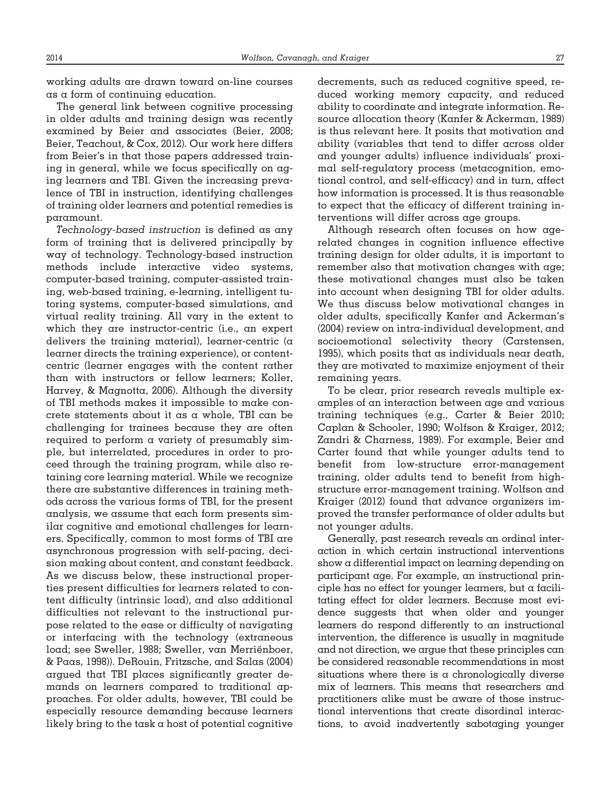working adults are drawn toward on-line courses as a form of continuing education.

The general link between cognitive processing in older adults and training design was recently examined by Beier and associates (Beier, 2008; Beier, Teachout, & Cox, 2012). Our work here differs from Beier's in that those papers addressed training in general, while we focus specifically on aging learners and TBI. Given the increasing prevalence of TBI in instruction, identifying challenges of training older learners and potential remedies is paramount.

*Technology-based instruction* is defined as any form of training that is delivered principally by way of technology. Technology-based instruction methods include interactive video systems, computer-based training, computer-assisted training, web-based training, e-learning, intelligent tutoring systems, computer-based simulations, and virtual reality training. All vary in the extent to which they are instructor-centric (i.e., an expert delivers the training material), learner-centric (a learner directs the training experience), or contentcentric (learner engages with the content rather than with instructors or fellow learners; Koller, Harvey, & Magnotta, 2006). Although the diversity of TBI methods makes it impossible to make concrete statements about it as a whole, TBI can be challenging for trainees because they are often required to perform a variety of presumably simple, but interrelated, procedures in order to proceed through the training program, while also retaining core learning material. While we recognize there are substantive differences in training methods across the various forms of TBI, for the present analysis, we assume that each form presents similar cognitive and emotional challenges for learners. Specifically, common to most forms of TBI are asynchronous progression with self-pacing, decision making about content, and constant feedback. As we discuss below, these instructional properties present difficulties for learners related to content difficulty (intrinsic load), and also additional difficulties not relevant to the instructional purpose related to the ease or difficulty of navigating or interfacing with the technology (extraneous load; see Sweller, 1988; Sweller, van Merriënboer, & Paas, 1998)). DeRouin, Fritzsche, and Salas (2004) argued that TBI places significantly greater demands on learners compared to traditional approaches. For older adults, however, TBI could be especially resource demanding because learners likely bring to the task a host of potential cognitive decrements, such as reduced cognitive speed, reduced working memory capacity, and reduced ability to coordinate and integrate information. Resource allocation theory (Kanfer & Ackerman, 1989) is thus relevant here. It posits that motivation and ability (variables that tend to differ across older and younger adults) influence individuals' proximal self-regulatory process (metacognition, emotional control, and self-efficacy) and in turn, affect how information is processed. It is thus reasonable to expect that the efficacy of different training interventions will differ across age groups.

Although research often focuses on how agerelated changes in cognition influence effective training design for older adults, it is important to remember also that motivation changes with age; these motivational changes must also be taken into account when designing TBI for older adults. We thus discuss below motivational changes in older adults, specifically Kanfer and Ackerman's (2004) review on intra-individual development, and socioemotional selectivity theory (Carstensen, 1995), which posits that as individuals near death, they are motivated to maximize enjoyment of their remaining years.

To be clear, prior research reveals multiple examples of an interaction between age and various training techniques (e.g., Carter & Beier 2010; Caplan & Schooler, 1990; Wolfson & Kraiger, 2012; Zandri & Charness, 1989). For example, Beier and Carter found that while younger adults tend to benefit from low-structure error-management training, older adults tend to benefit from highstructure error-management training. Wolfson and Kraiger (2012) found that advance organizers improved the transfer performance of older adults but not younger adults.

Generally, past research reveals an ordinal interaction in which certain instructional interventions show a differential impact on learning depending on participant age. For example, an instructional principle has no effect for younger learners, but a facilitating effect for older learners. Because most evidence suggests that when older and younger learners do respond differently to an instructional intervention, the difference is usually in magnitude and not direction, we argue that these principles can be considered reasonable recommendations in most situations where there is a chronologically diverse mix of learners. This means that researchers and practitioners alike must be aware of those instructional interventions that create disordinal interactions, to avoid inadvertently sabotaging younger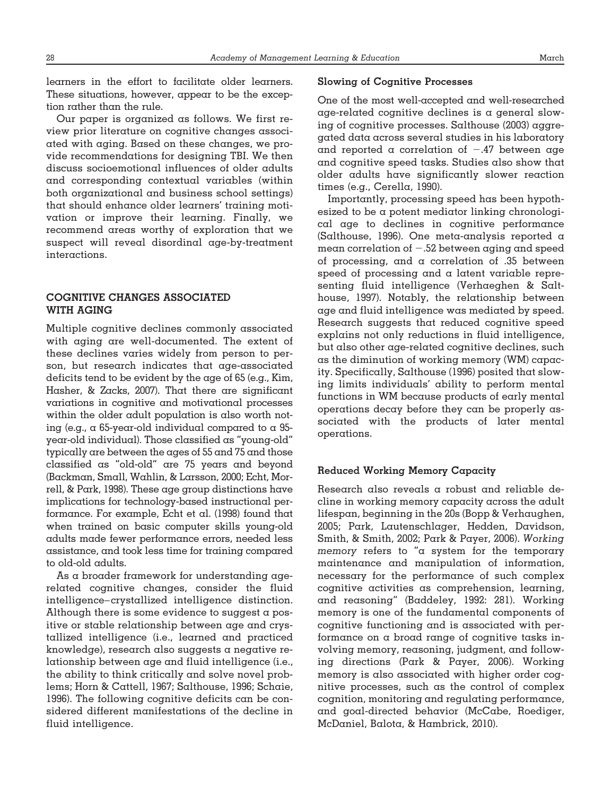learners in the effort to facilitate older learners. These situations, however, appear to be the exception rather than the rule.

Our paper is organized as follows. We first review prior literature on cognitive changes associated with aging. Based on these changes, we provide recommendations for designing TBI. We then discuss socioemotional influences of older adults and corresponding contextual variables (within both organizational and business school settings) that should enhance older learners' training motivation or improve their learning. Finally, we recommend areas worthy of exploration that we suspect will reveal disordinal age-by-treatment interactions.

#### **COGNITIVE CHANGES ASSOCIATED WITH AGING**

Multiple cognitive declines commonly associated with aging are well-documented. The extent of these declines varies widely from person to person, but research indicates that age-associated deficits tend to be evident by the age of 65 (e.g., Kim, Hasher, & Zacks, 2007). That there are significant variations in cognitive and motivational processes within the older adult population is also worth noting (e.g., a 65-year-old individual compared to a 95 year-old individual). Those classified as "young-old" typically are between the ages of 55 and 75 and those classified as "old-old" are 75 years and beyond (Backman, Small, Wahlin, & Larsson, 2000; Echt, Morrell, & Park, 1998). These age group distinctions have implications for technology-based instructional performance. For example, Echt et al. (1998) found that when trained on basic computer skills young-old adults made fewer performance errors, needed less assistance, and took less time for training compared to old-old adults.

As a broader framework for understanding agerelated cognitive changes, consider the fluid intelligence– crystallized intelligence distinction. Although there is some evidence to suggest  $\alpha$  positive or stable relationship between age and crystallized intelligence (i.e., learned and practiced knowledge), research also suggests a negative relationship between age and fluid intelligence (i.e., the ability to think critically and solve novel problems; Horn & Cattell, 1967; Salthouse, 1996; Schaie, 1996). The following cognitive deficits can be considered different manifestations of the decline in fluid intelligence.

#### **Slowing of Cognitive Processes**

One of the most well-accepted and well-researched age-related cognitive declines is a general slowing of cognitive processes. Salthouse (2003) aggregated data across several studies in his laboratory and reported a correlation of –.47 between age and cognitive speed tasks. Studies also show that older adults have significantly slower reaction times (e.g., Cerella, 1990).

Importantly, processing speed has been hypothesized to be a potent mediator linking chronological age to declines in cognitive performance (Salthouse, 1996). One meta-analysis reported a mean correlation of  $\,$  –.52 between aging and speed of processing, and a correlation of .35 between speed of processing and a latent variable representing fluid intelligence (Verhaeghen & Salthouse, 1997). Notably, the relationship between age and fluid intelligence was mediated by speed. Research suggests that reduced cognitive speed explains not only reductions in fluid intelligence, but also other age-related cognitive declines, such as the diminution of working memory (WM) capacity. Specifically, Salthouse (1996) posited that slowing limits individuals' ability to perform mental functions in WM because products of early mental operations decay before they can be properly associated with the products of later mental operations.

#### **Reduced Working Memory Capacity**

Research also reveals a robust and reliable decline in working memory capacity across the adult lifespan, beginning in the 20s (Bopp & Verhaughen, 2005; Park, Lautenschlager, Hedden, Davidson, Smith, & Smith, 2002; Park & Payer, 2006). *Working memory* refers to "a system for the temporary maintenance and manipulation of information, necessary for the performance of such complex cognitive activities as comprehension, learning, and reasoning" (Baddeley, 1992: 281). Working memory is one of the fundamental components of cognitive functioning and is associated with performance on a broad range of cognitive tasks involving memory, reasoning, judgment, and following directions (Park & Payer, 2006). Working memory is also associated with higher order cognitive processes, such as the control of complex cognition, monitoring and regulating performance, and goal-directed behavior (McCabe, Roediger, McDaniel, Balota, & Hambrick, 2010).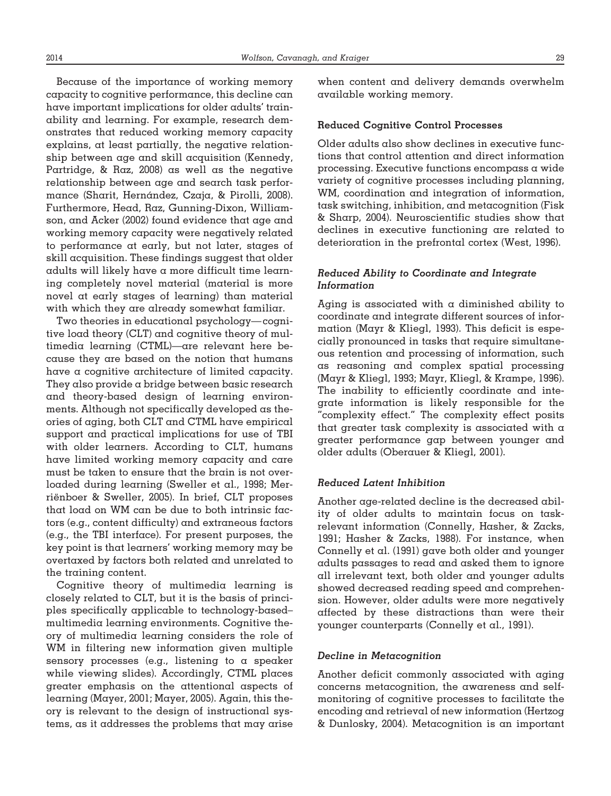Because of the importance of working memory capacity to cognitive performance, this decline can have important implications for older adults' trainability and learning. For example, research demonstrates that reduced working memory capacity explains, at least partially, the negative relationship between age and skill acquisition (Kennedy, Partridge, & Raz, 2008) as well as the negative relationship between age and search task performance (Sharit, Hernández, Czaja, & Pirolli, 2008). Furthermore, Head, Raz, Gunning-Dixon, Williamson, and Acker (2002) found evidence that age and working memory capacity were negatively related to performance at early, but not later, stages of skill acquisition. These findings suggest that older adults will likely have a more difficult time learning completely novel material (material is more novel at early stages of learning) than material with which they are already somewhat familiar.

Two theories in educational psychology— cognitive load theory (CLT) and cognitive theory of multimedia learning (CTML)—are relevant here because they are based on the notion that humans have a cognitive architecture of limited capacity. They also provide a bridge between basic research and theory-based design of learning environments. Although not specifically developed as theories of aging, both CLT and CTML have empirical support and practical implications for use of TBI with older learners. According to CLT, humans have limited working memory capacity and care must be taken to ensure that the brain is not overloaded during learning (Sweller et al., 1998; Merriënboer & Sweller, 2005). In brief, CLT proposes that load on WM can be due to both intrinsic factors (e.g., content difficulty) and extraneous factors (e.g., the TBI interface). For present purposes, the key point is that learners' working memory may be overtaxed by factors both related and unrelated to the training content.

Cognitive theory of multimedia learning is closely related to CLT, but it is the basis of principles specifically applicable to technology-based– multimedia learning environments. Cognitive theory of multimedia learning considers the role of WM in filtering new information given multiple sensory processes (e.g., listening to  $\alpha$  speaker while viewing slides). Accordingly, CTML places greater emphasis on the attentional aspects of learning (Mayer, 2001; Mayer, 2005). Again, this theory is relevant to the design of instructional systems, as it addresses the problems that may arise

when content and delivery demands overwhelm available working memory.

#### **Reduced Cognitive Control Processes**

Older adults also show declines in executive functions that control attention and direct information processing. Executive functions encompass a wide variety of cognitive processes including planning, WM, coordination and integration of information, task switching, inhibition, and metacognition (Fisk & Sharp, 2004). Neuroscientific studies show that declines in executive functioning are related to deterioration in the prefrontal cortex (West, 1996).

#### *Reduced Ability to Coordinate and Integrate Information*

Aging is associated with a diminished ability to coordinate and integrate different sources of information (Mayr & Kliegl, 1993). This deficit is especially pronounced in tasks that require simultaneous retention and processing of information, such as reasoning and complex spatial processing (Mayr & Kliegl, 1993; Mayr, Kliegl, & Krampe, 1996). The inability to efficiently coordinate and integrate information is likely responsible for the "complexity effect." The complexity effect posits that greater task complexity is associated with a greater performance gap between younger and older adults (Oberauer & Kliegl, 2001).

#### *Reduced Latent Inhibition*

Another age-related decline is the decreased ability of older adults to maintain focus on taskrelevant information (Connelly, Hasher, & Zacks, 1991; Hasher & Zacks, 1988). For instance, when Connelly et al. (1991) gave both older and younger adults passages to read and asked them to ignore all irrelevant text, both older and younger adults showed decreased reading speed and comprehension. However, older adults were more negatively affected by these distractions than were their younger counterparts (Connelly et al., 1991).

#### *Decline in Metacognition*

Another deficit commonly associated with aging concerns metacognition, the awareness and selfmonitoring of cognitive processes to facilitate the encoding and retrieval of new information (Hertzog & Dunlosky, 2004). Metacognition is an important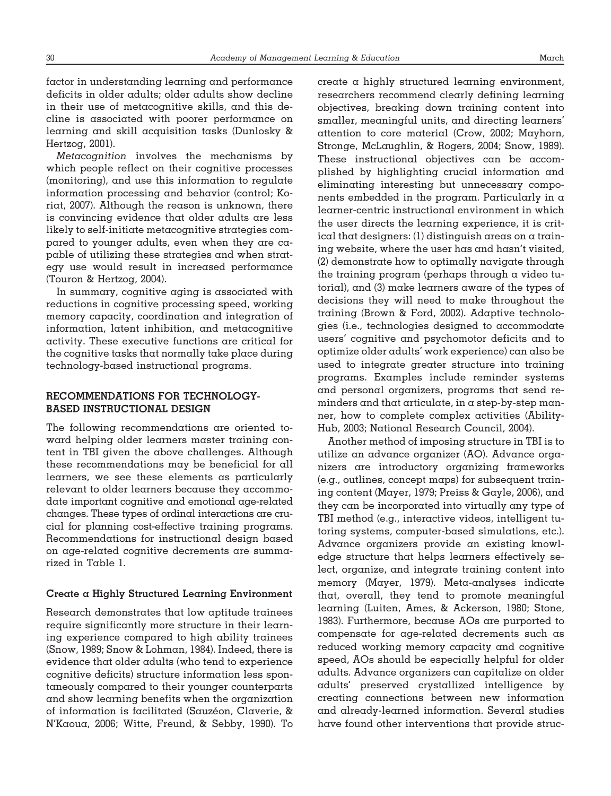factor in understanding learning and performance deficits in older adults; older adults show decline in their use of metacognitive skills, and this decline is associated with poorer performance on learning and skill acquisition tasks (Dunlosky & Hertzog, 2001).

*Metacognition* involves the mechanisms by which people reflect on their cognitive processes (monitoring), and use this information to regulate information processing and behavior (control; Koriat, 2007). Although the reason is unknown, there is convincing evidence that older adults are less likely to self-initiate metacognitive strategies compared to younger adults, even when they are capable of utilizing these strategies and when strategy use would result in increased performance (Touron & Hertzog, 2004).

In summary, cognitive aging is associated with reductions in cognitive processing speed, working memory capacity, coordination and integration of information, latent inhibition, and metacognitive activity. These executive functions are critical for the cognitive tasks that normally take place during technology-based instructional programs.

#### **RECOMMENDATIONS FOR TECHNOLOGY-BASED INSTRUCTIONAL DESIGN**

The following recommendations are oriented toward helping older learners master training content in TBI given the above challenges. Although these recommendations may be beneficial for all learners, we see these elements as particularly relevant to older learners because they accommodate important cognitive and emotional age-related changes. These types of ordinal interactions are crucial for planning cost-effective training programs. Recommendations for instructional design based on age-related cognitive decrements are summarized in Table 1.

#### **Create a Highly Structured Learning Environment**

Research demonstrates that low aptitude trainees require significantly more structure in their learning experience compared to high ability trainees (Snow, 1989; Snow & Lohman, 1984). Indeed, there is evidence that older adults (who tend to experience cognitive deficits) structure information less spontaneously compared to their younger counterparts and show learning benefits when the organization of information is facilitated (Sauzéon, Claverie, & N'Kaoua, 2006; Witte, Freund, & Sebby, 1990). To

create a highly structured learning environment, researchers recommend clearly defining learning objectives, breaking down training content into smaller, meaningful units, and directing learners' attention to core material (Crow, 2002; Mayhorn, Stronge, McLaughlin, & Rogers, 2004; Snow, 1989). These instructional objectives can be accomplished by highlighting crucial information and eliminating interesting but unnecessary components embedded in the program. Particularly in a learner-centric instructional environment in which the user directs the learning experience, it is critical that designers: (1) distinguish areas on a training website, where the user has and hasn't visited, (2) demonstrate how to optimally navigate through the training program (perhaps through a video tutorial), and (3) make learners aware of the types of decisions they will need to make throughout the training (Brown & Ford, 2002). Adaptive technologies (i.e., technologies designed to accommodate users' cognitive and psychomotor deficits and to optimize older adults' work experience) can also be used to integrate greater structure into training programs. Examples include reminder systems and personal organizers, programs that send reminders and that articulate, in a step-by-step manner, how to complete complex activities (Ability-Hub, 2003; National Research Council, 2004).

Another method of imposing structure in TBI is to utilize an advance organizer (AO). Advance organizers are introductory organizing frameworks (e.g., outlines, concept maps) for subsequent training content (Mayer, 1979; Preiss & Gayle, 2006), and they can be incorporated into virtually any type of TBI method (e.g., interactive videos, intelligent tutoring systems, computer-based simulations, etc.). Advance organizers provide an existing knowledge structure that helps learners effectively select, organize, and integrate training content into memory (Mayer, 1979). Meta-analyses indicate that, overall, they tend to promote meaningful learning (Luiten, Ames, & Ackerson, 1980; Stone, 1983). Furthermore, because AOs are purported to compensate for age-related decrements such as reduced working memory capacity and cognitive speed, AOs should be especially helpful for older adults. Advance organizers can capitalize on older adults' preserved crystallized intelligence by creating connections between new information and already-learned information. Several studies have found other interventions that provide struc-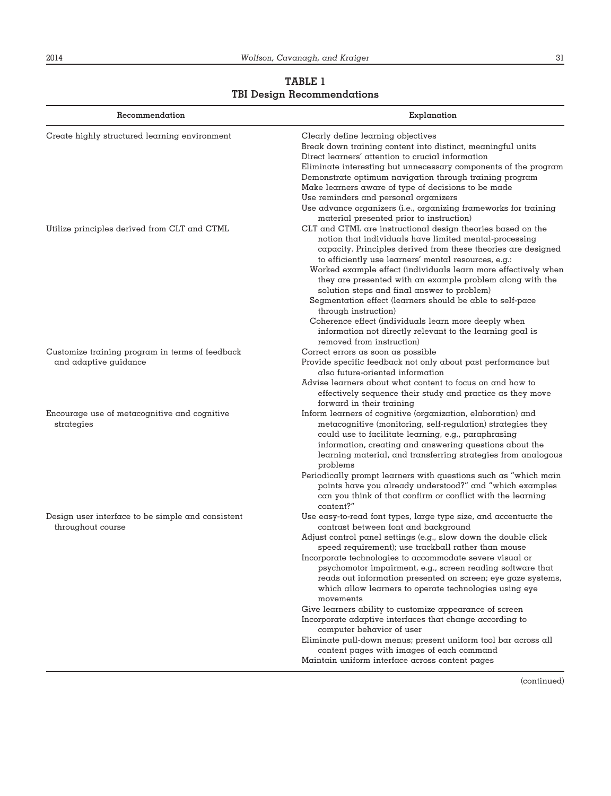| TABLE 1                           |
|-----------------------------------|
| <b>TBI Design Recommendations</b> |

| Recommendation                                                           | Explanation                                                                                                                                                                                                                                                                                                                                                                                                                                                                            |
|--------------------------------------------------------------------------|----------------------------------------------------------------------------------------------------------------------------------------------------------------------------------------------------------------------------------------------------------------------------------------------------------------------------------------------------------------------------------------------------------------------------------------------------------------------------------------|
| Create highly structured learning environment                            | Clearly define learning objectives<br>Break down training content into distinct, meaningful units<br>Direct learners' attention to crucial information<br>Eliminate interesting but unnecessary components of the program<br>Demonstrate optimum navigation through training program<br>Make learners aware of type of decisions to be made<br>Use reminders and personal organizers                                                                                                   |
| Utilize principles derived from CLT and CTML                             | Use advance organizers (i.e., organizing frameworks for training<br>material presented prior to instruction)<br>CLT and CTML are instructional design theories based on the<br>notion that individuals have limited mental-processing<br>capacity. Principles derived from these theories are designed<br>to efficiently use learners' mental resources, e.g.:                                                                                                                         |
|                                                                          | Worked example effect (individuals learn more effectively when<br>they are presented with an example problem along with the<br>solution steps and final answer to problem)<br>Segmentation effect (learners should be able to self-pace<br>through instruction)<br>Coherence effect (individuals learn more deeply when<br>information not directly relevant to the learning goal is<br>removed from instruction)                                                                      |
| Customize training program in terms of feedback<br>and adaptive guidance | Correct errors as soon as possible<br>Provide specific feedback not only about past performance but<br>also future-oriented information<br>Advise learners about what content to focus on and how to<br>effectively sequence their study and practice as they move                                                                                                                                                                                                                     |
| Encourage use of metacognitive and cognitive<br>strategies               | forward in their training<br>Inform learners of cognitive (organization, elaboration) and<br>metacognitive (monitoring, self-regulation) strategies they<br>could use to facilitate learning, e.g., paraphrasing<br>information, creating and answering questions about the<br>learning material, and transferring strategies from analogous<br>problems<br>Periodically prompt learners with questions such as "which main                                                            |
|                                                                          | points have you already understood?" and "which examples<br>can you think of that confirm or conflict with the learning<br>content?"                                                                                                                                                                                                                                                                                                                                                   |
| Design user interface to be simple and consistent<br>throughout course   | Use easy-to-read font types, large type size, and accentuate the<br>contrast between font and background<br>Adjust control panel settings (e.g., slow down the double click<br>speed requirement); use trackball rather than mouse<br>Incorporate technologies to accommodate severe visual or<br>psychomotor impairment, e.g., screen reading software that<br>reads out information presented on screen; eye gaze systems,<br>which allow learners to operate technologies using eye |
|                                                                          | movements<br>Give learners ability to customize appearance of screen<br>Incorporate adaptive interfaces that change according to<br>computer behavior of user<br>Eliminate pull-down menus; present uniform tool bar across all<br>content pages with images of each command<br>Maintain uniform interface across content pages                                                                                                                                                        |

(continued)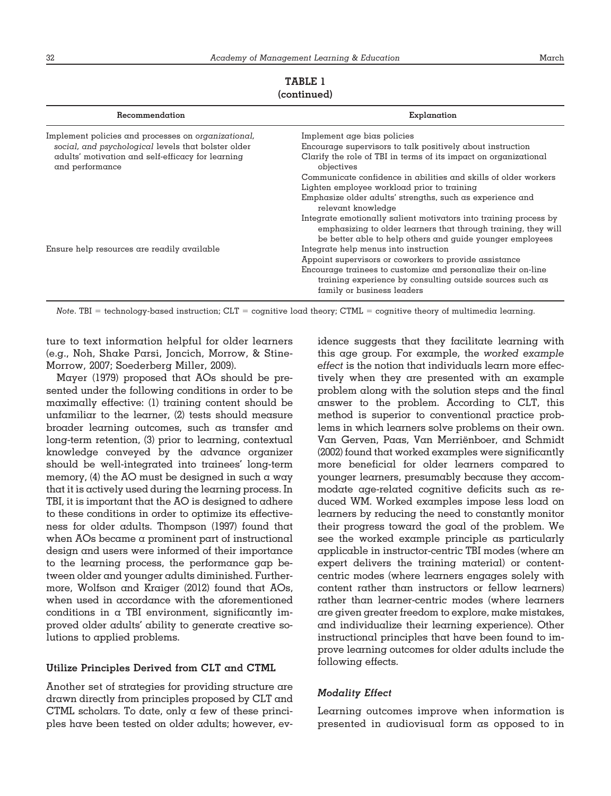| Recommendation                                                       | Explanation                                                                                                                                                                                      |
|----------------------------------------------------------------------|--------------------------------------------------------------------------------------------------------------------------------------------------------------------------------------------------|
| Implement policies and processes on organizational,                  | Implement age bias policies                                                                                                                                                                      |
| social, and psychological levels that bolster older                  | Encourage supervisors to talk positively about instruction                                                                                                                                       |
| adults' motivation and self-efficacy for learning<br>and performance | Clarify the role of TBI in terms of its impact on organizational<br>objectives                                                                                                                   |
|                                                                      | Communicate confidence in abilities and skills of older workers<br>Lighten employee workload prior to training                                                                                   |
|                                                                      | Emphasize older adults' strengths, such as experience and<br>relevant knowledge                                                                                                                  |
|                                                                      | Integrate emotionally salient motivators into training process by<br>emphasizing to older learners that through training, they will<br>be better able to help others and guide younger employees |
| Ensure help resources are readily available                          | Integrate help menus into instruction                                                                                                                                                            |
|                                                                      | Appoint supervisors or coworkers to provide assistance                                                                                                                                           |
|                                                                      | Encourage trainees to customize and personalize their on-line<br>training experience by consulting outside sources such as<br>family or business leaders                                         |

| TABLE 1     |  |
|-------------|--|
| (continued) |  |

*Note*. TBI = technology-based instruction; CLT = cognitive load theory; CTML = cognitive theory of multimedia learning.

ture to text information helpful for older learners (e.g., Noh, Shake Parsi, Joncich, Morrow, & Stine-Morrow, 2007; Soederberg Miller, 2009).

Mayer (1979) proposed that AOs should be presented under the following conditions in order to be maximally effective: (1) training content should be unfamiliar to the learner, (2) tests should measure broader learning outcomes, such as transfer and long-term retention, (3) prior to learning, contextual knowledge conveyed by the advance organizer should be well-integrated into trainees' long-term memory,  $(4)$  the AO must be designed in such  $\alpha$  way that it is actively used during the learning process. In TBI, it is important that the AO is designed to adhere to these conditions in order to optimize its effectiveness for older adults. Thompson (1997) found that when AOs became a prominent part of instructional design and users were informed of their importance to the learning process, the performance gap between older and younger adults diminished. Furthermore, Wolfson and Kraiger (2012) found that AOs, when used in accordance with the aforementioned conditions in  $\alpha$  TBI environment, significantly improved older adults' ability to generate creative solutions to applied problems.

#### **Utilize Principles Derived from CLT and CTML**

Another set of strategies for providing structure are drawn directly from principles proposed by CLT and CTML scholars. To date, only  $\alpha$  few of these principles have been tested on older adults; however, evidence suggests that they facilitate learning with this age group. For example, the *worked example effect* is the notion that individuals learn more effectively when they are presented with an example problem along with the solution steps and the final answer to the problem. According to CLT, this method is superior to conventional practice problems in which learners solve problems on their own. Van Gerven, Paas, Van Merriënboer, and Schmidt (2002) found that worked examples were significantly more beneficial for older learners compared to younger learners, presumably because they accommodate age-related cognitive deficits such as reduced WM. Worked examples impose less load on learners by reducing the need to constantly monitor their progress toward the goal of the problem. We see the worked example principle as particularly applicable in instructor-centric TBI modes (where an expert delivers the training material) or contentcentric modes (where learners engages solely with content rather than instructors or fellow learners) rather than learner-centric modes (where learners are given greater freedom to explore, make mistakes, and individualize their learning experience). Other instructional principles that have been found to improve learning outcomes for older adults include the following effects.

#### *Modality Effect*

Learning outcomes improve when information is presented in audiovisual form as opposed to in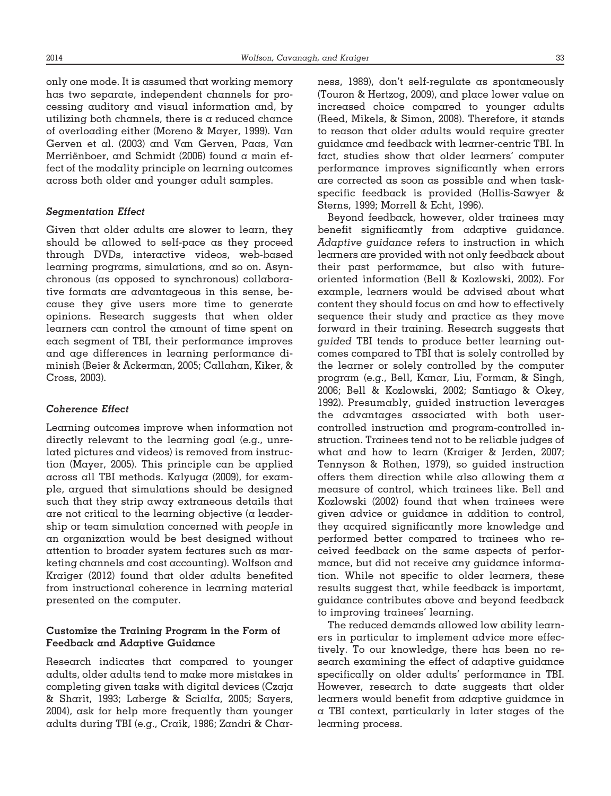only one mode. It is assumed that working memory has two separate, independent channels for processing auditory and visual information and, by utilizing both channels, there is a reduced chance of overloading either (Moreno & Mayer, 1999). Van Gerven et al. (2003) and Van Gerven, Paas, Van Merriënboer, and Schmidt (2006) found a main effect of the modality principle on learning outcomes across both older and younger adult samples.

#### *Segmentation Effect*

Given that older adults are slower to learn, they should be allowed to self-pace as they proceed through DVDs, interactive videos, web-based learning programs, simulations, and so on. Asynchronous (as opposed to synchronous) collaborative formats are advantageous in this sense, because they give users more time to generate opinions. Research suggests that when older learners can control the amount of time spent on each segment of TBI, their performance improves and age differences in learning performance diminish (Beier & Ackerman, 2005; Callahan, Kiker, & Cross, 2003).

#### *Coherence Effect*

Learning outcomes improve when information not directly relevant to the learning goal (e.g., unrelated pictures and videos) is removed from instruction (Mayer, 2005). This principle can be applied across all TBI methods. Kalyuga (2009), for example, argued that simulations should be designed such that they strip away extraneous details that are not critical to the learning objective (a leadership or team simulation concerned with *people* in an organization would be best designed without attention to broader system features such as marketing channels and cost accounting). Wolfson and Kraiger (2012) found that older adults benefited from instructional coherence in learning material presented on the computer.

#### **Customize the Training Program in the Form of Feedback and Adaptive Guidance**

Research indicates that compared to younger adults, older adults tend to make more mistakes in completing given tasks with digital devices (Czaja & Sharit, 1993; Laberge & Scialfa, 2005; Sayers, 2004), ask for help more frequently than younger adults during TBI (e.g., Craik, 1986; Zandri & Charness, 1989), don't self-regulate as spontaneously (Touron & Hertzog, 2009), and place lower value on increased choice compared to younger adults (Reed, Mikels, & Simon, 2008). Therefore, it stands to reason that older adults would require greater guidance and feedback with learner-centric TBI. In fact, studies show that older learners' computer performance improves significantly when errors are corrected as soon as possible and when taskspecific feedback is provided (Hollis-Sawyer & Sterns, 1999; Morrell & Echt, 1996).

Beyond feedback, however, older trainees may benefit significantly from adaptive guidance. *Adaptive guidance* refers to instruction in which learners are provided with not only feedback about their past performance, but also with futureoriented information (Bell & Kozlowski, 2002). For example, learners would be advised about what content they should focus on and how to effectively sequence their study and practice as they move forward in their training. Research suggests that *guided* TBI tends to produce better learning outcomes compared to TBI that is solely controlled by the learner or solely controlled by the computer program (e.g., Bell, Kanar, Liu, Forman, & Singh, 2006; Bell & Kozlowski, 2002; Santiago & Okey, 1992). Presumably, guided instruction leverages the advantages associated with both usercontrolled instruction and program-controlled instruction. Trainees tend not to be reliable judges of what and how to learn (Kraiger & Jerden, 2007; Tennyson & Rothen, 1979), so guided instruction offers them direction while also allowing them a measure of control, which trainees like. Bell and Kozlowski (2002) found that when trainees were given advice or guidance in addition to control, they acquired significantly more knowledge and performed better compared to trainees who received feedback on the same aspects of performance, but did not receive any guidance information. While not specific to older learners, these results suggest that, while feedback is important, guidance contributes above and beyond feedback to improving trainees' learning.

The reduced demands allowed low ability learners in particular to implement advice more effectively. To our knowledge, there has been no research examining the effect of adaptive guidance specifically on older adults' performance in TBI. However, research to date suggests that older learners would benefit from adaptive guidance in a TBI context, particularly in later stages of the learning process.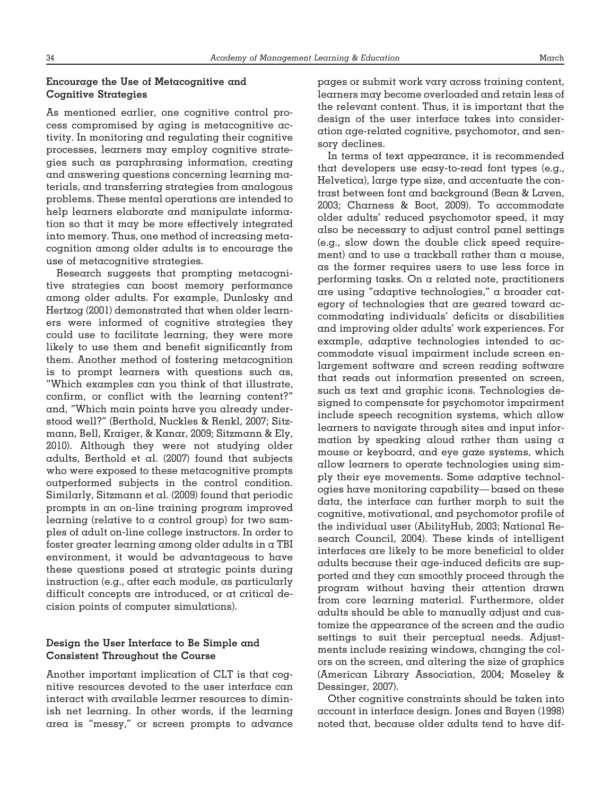#### **Encourage the Use of Metacognitive and Cognitive Strategies**

As mentioned earlier, one cognitive control process compromised by aging is metacognitive activity. In monitoring and regulating their cognitive processes, learners may employ cognitive strategies such as paraphrasing information, creating and answering questions concerning learning materials, and transferring strategies from analogous problems. These mental operations are intended to help learners elaborate and manipulate information so that it may be more effectively integrated into memory. Thus, one method of increasing metacognition among older adults is to encourage the use of metacognitive strategies.

Research suggests that prompting metacognitive strategies can boost memory performance among older adults. For example, Dunlosky and Hertzog (2001) demonstrated that when older learners were informed of cognitive strategies they could use to facilitate learning, they were more likely to use them and benefit significantly from them. Another method of fostering metacognition is to prompt learners with questions such as, "Which examples can you think of that illustrate, confirm, or conflict with the learning content?" and, "Which main points have you already understood well?" (Berthold, Nuckles & Renkl, 2007; Sitzmann, Bell, Kraiger, & Kanar, 2009; Sitzmann & Ely, 2010). Although they were not studying older adults, Berthold et al. (2007) found that subjects who were exposed to these metacognitive prompts outperformed subjects in the control condition. Similarly, Sitzmann et al. (2009) found that periodic prompts in an on-line training program improved learning (relative to a control group) for two samples of adult on-line college instructors. In order to foster greater learning among older adults in a TBI environment, it would be advantageous to have these questions posed at strategic points during instruction (e.g., after each module, as particularly difficult concepts are introduced, or at critical decision points of computer simulations).

#### **Design the User Interface to Be Simple and Consistent Throughout the Course**

Another important implication of CLT is that cognitive resources devoted to the user interface can interact with available learner resources to diminish net learning. In other words, if the learning area is "messy," or screen prompts to advance

pages or submit work vary across training content, learners may become overloaded and retain less of the relevant content. Thus, it is important that the design of the user interface takes into consideration age-related cognitive, psychomotor, and sensory declines.

In terms of text appearance, it is recommended that developers use easy-to-read font types (e.g., Helvetica), large type size, and accentuate the contrast between font and background (Bean & Laven, 2003; Charness & Boot, 2009). To accommodate older adults' reduced psychomotor speed, it may also be necessary to adjust control panel settings (e.g., slow down the double click speed requirement) and to use a trackball rather than a mouse, as the former requires users to use less force in performing tasks. On a related note, practitioners are using "adaptive technologies," a broader category of technologies that are geared toward accommodating individuals' deficits or disabilities and improving older adults' work experiences. For example, adaptive technologies intended to accommodate visual impairment include screen enlargement software and screen reading software that reads out information presented on screen, such as text and graphic icons. Technologies designed to compensate for psychomotor impairment include speech recognition systems, which allow learners to navigate through sites and input information by speaking aloud rather than using a mouse or keyboard, and eye gaze systems, which allow learners to operate technologies using simply their eye movements. Some adaptive technologies have monitoring capability—based on these data, the interface can further morph to suit the cognitive, motivational, and psychomotor profile of the individual user (AbilityHub, 2003; National Research Council, 2004). These kinds of intelligent interfaces are likely to be more beneficial to older adults because their age-induced deficits are supported and they can smoothly proceed through the program without having their attention drawn from core learning material. Furthermore, older adults should be able to manually adjust and customize the appearance of the screen and the audio settings to suit their perceptual needs. Adjustments include resizing windows, changing the colors on the screen, and altering the size of graphics (American Library Association, 2004; Moseley & Dessinger, 2007).

Other cognitive constraints should be taken into account in interface design. Jones and Bayen (1998) noted that, because older adults tend to have dif-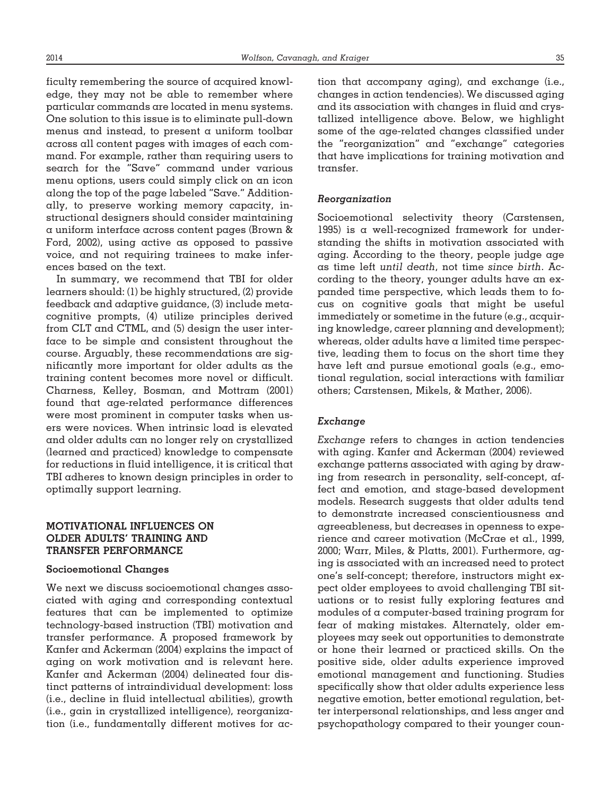ficulty remembering the source of acquired knowledge, they may not be able to remember where particular commands are located in menu systems. One solution to this issue is to eliminate pull-down menus and instead, to present a uniform toolbar across all content pages with images of each command. For example, rather than requiring users to search for the "Save" command under various menu options, users could simply click on an icon along the top of the page labeled "Save." Additionally, to preserve working memory capacity, instructional designers should consider maintaining a uniform interface across content pages (Brown & Ford, 2002), using active as opposed to passive voice, and not requiring trainees to make inferences based on the text.

In summary, we recommend that TBI for older learners should: (1) be highly structured, (2) provide feedback and adaptive guidance, (3) include metacognitive prompts, (4) utilize principles derived from CLT and CTML, and (5) design the user interface to be simple and consistent throughout the course. Arguably, these recommendations are significantly more important for older adults as the training content becomes more novel or difficult. Charness, Kelley, Bosman, and Mottram (2001) found that age-related performance differences were most prominent in computer tasks when users were novices. When intrinsic load is elevated and older adults can no longer rely on crystallized (learned and practiced) knowledge to compensate for reductions in fluid intelligence, it is critical that TBI adheres to known design principles in order to optimally support learning.

#### **MOTIVATIONAL INFLUENCES ON OLDER ADULTS' TRAINING AND TRANSFER PERFORMANCE**

#### **Socioemotional Changes**

We next we discuss socioemotional changes associated with aging and corresponding contextual features that can be implemented to optimize technology-based instruction (TBI) motivation and transfer performance. A proposed framework by Kanfer and Ackerman (2004) explains the impact of aging on work motivation and is relevant here. Kanfer and Ackerman (2004) delineated four distinct patterns of intraindividual development: loss (i.e., decline in fluid intellectual abilities), growth (i.e., gain in crystallized intelligence), reorganization (i.e., fundamentally different motives for action that accompany aging), and exchange (i.e., changes in action tendencies). We discussed aging and its association with changes in fluid and crystallized intelligence above. Below, we highlight some of the age-related changes classified under the "reorganization" and "exchange" categories that have implications for training motivation and transfer.

#### *Reorganization*

Socioemotional selectivity theory (Carstensen, 1995) is a well-recognized framework for understanding the shifts in motivation associated with aging. According to the theory, people judge age as time left *until death*, not time *since birth*. According to the theory, younger adults have an expanded time perspective, which leads them to focus on cognitive goals that might be useful immediately or sometime in the future (e.g., acquiring knowledge, career planning and development); whereas, older adults have a limited time perspective, leading them to focus on the short time they have left and pursue emotional goals (e.g., emotional regulation, social interactions with familiar others; Carstensen, Mikels, & Mather, 2006).

#### *Exchange*

*Exchange* refers to changes in action tendencies with aging. Kanfer and Ackerman (2004) reviewed exchange patterns associated with aging by drawing from research in personality, self-concept, affect and emotion, and stage-based development models. Research suggests that older adults tend to demonstrate increased conscientiousness and agreeableness, but decreases in openness to experience and career motivation (McCrae et al., 1999, 2000; Warr, Miles, & Platts, 2001). Furthermore, aging is associated with an increased need to protect one's self-concept; therefore, instructors might expect older employees to avoid challenging TBI situations or to resist fully exploring features and modules of a computer-based training program for fear of making mistakes. Alternately, older employees may seek out opportunities to demonstrate or hone their learned or practiced skills. On the positive side, older adults experience improved emotional management and functioning. Studies specifically show that older adults experience less negative emotion, better emotional regulation, better interpersonal relationships, and less anger and psychopathology compared to their younger coun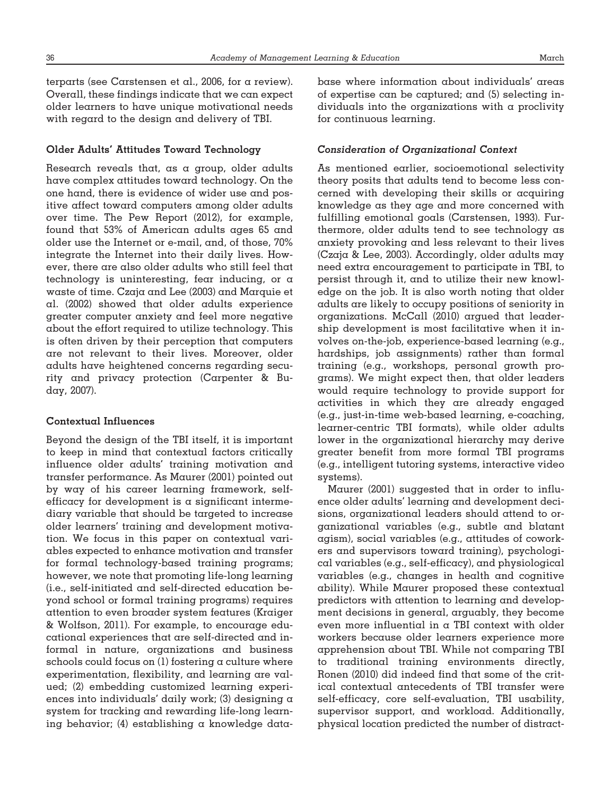terparts (see Carstensen et al., 2006, for a review). Overall, these findings indicate that we can expect older learners to have unique motivational needs with regard to the design and delivery of TBI.

#### **Older Adults' Attitudes Toward Technology**

Research reveals that, as a group, older adults have complex attitudes toward technology. On the one hand, there is evidence of wider use and positive affect toward computers among older adults over time. The Pew Report (2012), for example, found that 53% of American adults ages 65 and older use the Internet or e-mail, and, of those, 70% integrate the Internet into their daily lives. However, there are also older adults who still feel that technology is uninteresting, fear inducing, or a waste of time. Czaja and Lee (2003) and Marquie et al. (2002) showed that older adults experience greater computer anxiety and feel more negative about the effort required to utilize technology. This is often driven by their perception that computers are not relevant to their lives. Moreover, older adults have heightened concerns regarding security and privacy protection (Carpenter & Buday, 2007).

#### **Contextual Influences**

Beyond the design of the TBI itself, it is important to keep in mind that contextual factors critically influence older adults' training motivation and transfer performance. As Maurer (2001) pointed out by way of his career learning framework, selfefficacy for development is a significant intermediary variable that should be targeted to increase older learners' training and development motivation. We focus in this paper on contextual variables expected to enhance motivation and transfer for formal technology-based training programs; however, we note that promoting life-long learning (i.e., self-initiated and self-directed education beyond school or formal training programs) requires attention to even broader system features (Kraiger & Wolfson, 2011). For example, to encourage educational experiences that are self-directed and informal in nature, organizations and business schools could focus on  $(1)$  fostering a culture where experimentation, flexibility, and learning are valued; (2) embedding customized learning experiences into individuals' daily work; (3) designing a system for tracking and rewarding life-long learning behavior; (4) establishing a knowledge database where information about individuals' areas of expertise can be captured; and (5) selecting individuals into the organizations with a proclivity for continuous learning.

#### *Consideration of Organizational Context*

As mentioned earlier, socioemotional selectivity theory posits that adults tend to become less concerned with developing their skills or acquiring knowledge as they age and more concerned with fulfilling emotional goals (Carstensen, 1993). Furthermore, older adults tend to see technology as anxiety provoking and less relevant to their lives (Czaja & Lee, 2003). Accordingly, older adults may need extra encouragement to participate in TBI, to persist through it, and to utilize their new knowledge on the job. It is also worth noting that older adults are likely to occupy positions of seniority in organizations. McCall (2010) argued that leadership development is most facilitative when it involves on-the-job, experience-based learning (e.g., hardships, job assignments) rather than formal training (e.g., workshops, personal growth programs). We might expect then, that older leaders would require technology to provide support for activities in which they are already engaged (e.g., just-in-time web-based learning, e-coaching, learner-centric TBI formats), while older adults lower in the organizational hierarchy may derive greater benefit from more formal TBI programs (e.g., intelligent tutoring systems, interactive video systems).

Maurer (2001) suggested that in order to influence older adults' learning and development decisions, organizational leaders should attend to organizational variables (e.g., subtle and blatant agism), social variables (e.g., attitudes of coworkers and supervisors toward training), psychological variables (e.g., self-efficacy), and physiological variables (e.g., changes in health and cognitive ability). While Maurer proposed these contextual predictors with attention to learning and development decisions in general, arguably, they become even more influential in a TBI context with older workers because older learners experience more apprehension about TBI. While not comparing TBI to traditional training environments directly, Ronen (2010) did indeed find that some of the critical contextual antecedents of TBI transfer were self-efficacy, core self-evaluation, TBI usability, supervisor support, and workload. Additionally, physical location predicted the number of distract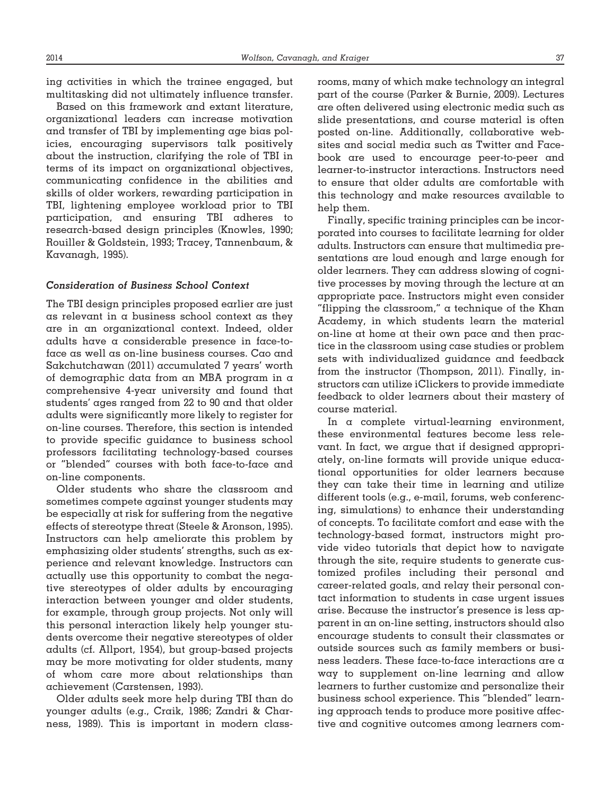ing activities in which the trainee engaged, but multitasking did not ultimately influence transfer.

Based on this framework and extant literature, organizational leaders can increase motivation and transfer of TBI by implementing age bias policies, encouraging supervisors talk positively about the instruction, clarifying the role of TBI in terms of its impact on organizational objectives, communicating confidence in the abilities and skills of older workers, rewarding participation in TBI, lightening employee workload prior to TBI participation, and ensuring TBI adheres to research-based design principles (Knowles, 1990; Rouiller & Goldstein, 1993; Tracey, Tannenbaum, & Kavanagh, 1995).

#### *Consideration of Business School Context*

The TBI design principles proposed earlier are just as relevant in a business school context as they are in an organizational context. Indeed, older adults have a considerable presence in face-toface as well as on-line business courses. Cao and Sakchutchawan (2011) accumulated 7 years' worth of demographic data from an MBA program in a comprehensive 4-year university and found that students' ages ranged from 22 to 90 and that older adults were significantly more likely to register for on-line courses. Therefore, this section is intended to provide specific guidance to business school professors facilitating technology-based courses or "blended" courses with both face-to-face and on-line components.

Older students who share the classroom and sometimes compete against younger students may be especially at risk for suffering from the negative effects of stereotype threat (Steele & Aronson, 1995). Instructors can help ameliorate this problem by emphasizing older students' strengths, such as experience and relevant knowledge. Instructors can actually use this opportunity to combat the negative stereotypes of older adults by encouraging interaction between younger and older students, for example, through group projects. Not only will this personal interaction likely help younger students overcome their negative stereotypes of older adults (cf. Allport, 1954), but group-based projects may be more motivating for older students, many of whom care more about relationships than achievement (Carstensen, 1993).

Older adults seek more help during TBI than do younger adults (e.g., Craik, 1986; Zandri & Charness, 1989). This is important in modern classrooms, many of which make technology an integral part of the course (Parker & Burnie, 2009). Lectures are often delivered using electronic media such as slide presentations, and course material is often posted on-line. Additionally, collaborative websites and social media such as Twitter and Facebook are used to encourage peer-to-peer and learner-to-instructor interactions. Instructors need to ensure that older adults are comfortable with this technology and make resources available to help them.

Finally, specific training principles can be incorporated into courses to facilitate learning for older adults. Instructors can ensure that multimedia presentations are loud enough and large enough for older learners. They can address slowing of cognitive processes by moving through the lecture at an appropriate pace. Instructors might even consider "flipping the classroom,"  $\alpha$  technique of the Khan Academy, in which students learn the material on-line at home at their own pace and then practice in the classroom using case studies or problem sets with individualized guidance and feedback from the instructor (Thompson, 2011). Finally, instructors can utilize iClickers to provide immediate feedback to older learners about their mastery of course material.

In a complete virtual-learning environment, these environmental features become less relevant. In fact, we argue that if designed appropriately, on-line formats will provide unique educational opportunities for older learners because they can take their time in learning and utilize different tools (e.g., e-mail, forums, web conferencing, simulations) to enhance their understanding of concepts. To facilitate comfort and ease with the technology-based format, instructors might provide video tutorials that depict how to navigate through the site, require students to generate customized profiles including their personal and career-related goals, and relay their personal contact information to students in case urgent issues arise. Because the instructor's presence is less apparent in an on-line setting, instructors should also encourage students to consult their classmates or outside sources such as family members or business leaders. These face-to-face interactions are a way to supplement on-line learning and allow learners to further customize and personalize their business school experience. This "blended" learning approach tends to produce more positive affective and cognitive outcomes among learners com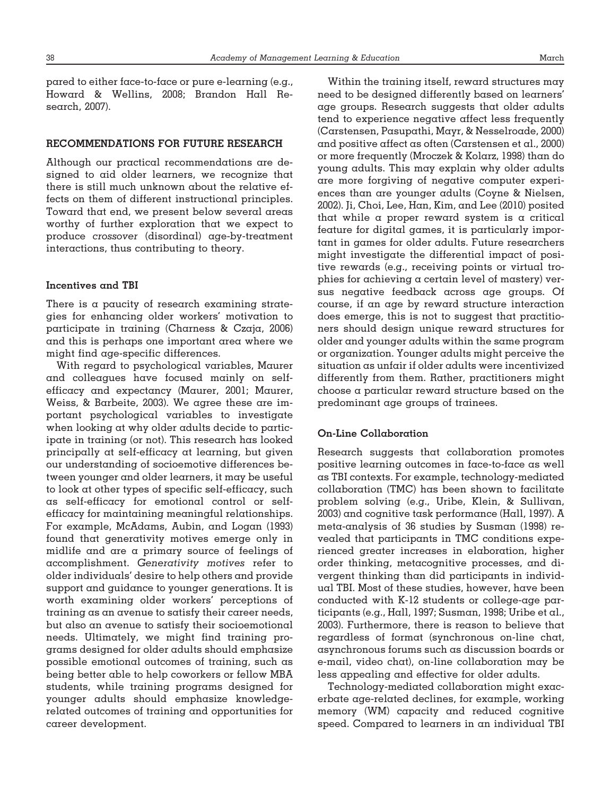pared to either face-to-face or pure e-learning (e.g., Howard & Wellins, 2008; Brandon Hall Research, 2007).

#### **RECOMMENDATIONS FOR FUTURE RESEARCH**

Although our practical recommendations are designed to aid older learners, we recognize that there is still much unknown about the relative effects on them of different instructional principles. Toward that end, we present below several areas worthy of further exploration that we expect to produce *crossover* (disordinal) age-by-treatment interactions, thus contributing to theory.

#### **Incentives and TBI**

There is a paucity of research examining strategies for enhancing older workers' motivation to participate in training (Charness & Czaja, 2006) and this is perhaps one important area where we might find age-specific differences.

With regard to psychological variables, Maurer and colleagues have focused mainly on selfefficacy and expectancy (Maurer, 2001; Maurer, Weiss, & Barbeite, 2003). We agree these are important psychological variables to investigate when looking at why older adults decide to participate in training (or not). This research has looked principally at self-efficacy at learning, but given our understanding of socioemotive differences between younger and older learners, it may be useful to look at other types of specific self-efficacy, such as self-efficacy for emotional control or selfefficacy for maintaining meaningful relationships. For example, McAdams, Aubin, and Logan (1993) found that generativity motives emerge only in midlife and are a primary source of feelings of accomplishment. *Generativity motives* refer to older individuals' desire to help others and provide support and guidance to younger generations. It is worth examining older workers' perceptions of training as an avenue to satisfy their career needs, but also an avenue to satisfy their socioemotional needs. Ultimately, we might find training programs designed for older adults should emphasize possible emotional outcomes of training, such as being better able to help coworkers or fellow MBA students, while training programs designed for younger adults should emphasize knowledgerelated outcomes of training and opportunities for career development.

Within the training itself, reward structures may need to be designed differently based on learners' age groups. Research suggests that older adults tend to experience negative affect less frequently (Carstensen, Pasupathi, Mayr, & Nesselroade, 2000) and positive affect as often (Carstensen et al., 2000) or more frequently (Mroczek & Kolarz, 1998) than do young adults. This may explain why older adults are more forgiving of negative computer experiences than are younger adults (Coyne & Nielsen, 2002). Ji, Choi, Lee, Han, Kim, and Lee (2010) posited that while a proper reward system is a critical feature for digital games, it is particularly important in games for older adults. Future researchers might investigate the differential impact of positive rewards (e.g., receiving points or virtual trophies for achieving a certain level of mastery) versus negative feedback across age groups. Of course, if an age by reward structure interaction does emerge, this is not to suggest that practitioners should design unique reward structures for older and younger adults within the same program or organization. Younger adults might perceive the situation as unfair if older adults were incentivized differently from them. Rather, practitioners might choose a particular reward structure based on the predominant age groups of trainees.

#### **On-Line Collaboration**

Research suggests that collaboration promotes positive learning outcomes in face-to-face as well as TBI contexts. For example, technology-mediated collaboration (TMC) has been shown to facilitate problem solving (e.g., Uribe, Klein, & Sullivan, 2003) and cognitive task performance (Hall, 1997). A meta-analysis of 36 studies by Susman (1998) revealed that participants in TMC conditions experienced greater increases in elaboration, higher order thinking, metacognitive processes, and divergent thinking than did participants in individual TBI. Most of these studies, however, have been conducted with K-12 students or college-age participants (e.g., Hall, 1997; Susman, 1998; Uribe et al., 2003). Furthermore, there is reason to believe that regardless of format (synchronous on-line chat, asynchronous forums such as discussion boards or e-mail, video chat), on-line collaboration may be less appealing and effective for older adults.

Technology-mediated collaboration might exacerbate age-related declines, for example, working memory (WM) capacity and reduced cognitive speed. Compared to learners in an individual TBI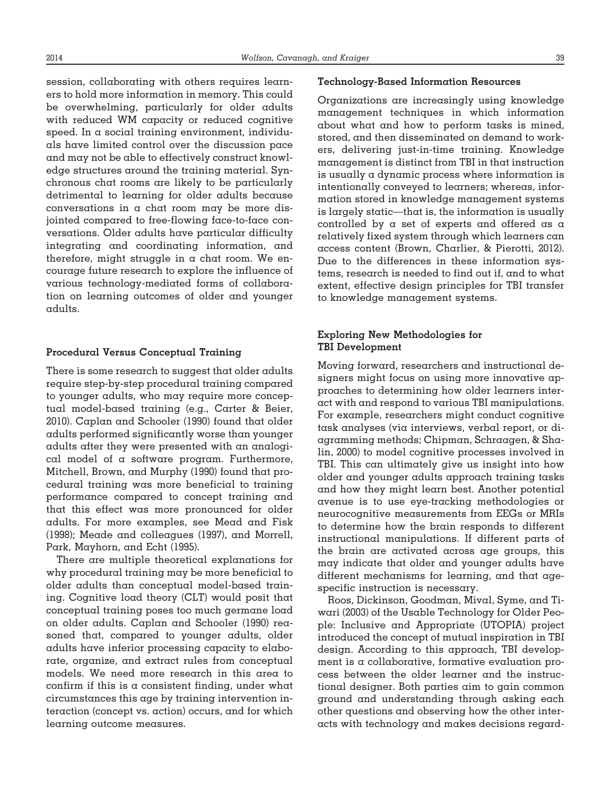session, collaborating with others requires learners to hold more information in memory. This could be overwhelming, particularly for older adults with reduced WM capacity or reduced cognitive speed. In a social training environment, individuals have limited control over the discussion pace and may not be able to effectively construct knowledge structures around the training material. Synchronous chat rooms are likely to be particularly detrimental to learning for older adults because conversations in a chat room may be more disjointed compared to free-flowing face-to-face conversations. Older adults have particular difficulty integrating and coordinating information, and therefore, might struggle in  $\alpha$  chat room. We encourage future research to explore the influence of various technology-mediated forms of collaboration on learning outcomes of older and younger adults.

#### **Procedural Versus Conceptual Training**

There is some research to suggest that older adults require step-by-step procedural training compared to younger adults, who may require more conceptual model-based training (e.g., Carter & Beier, 2010). Caplan and Schooler (1990) found that older adults performed significantly worse than younger adults after they were presented with an analogical model of a software program. Furthermore, Mitchell, Brown, and Murphy (1990) found that procedural training was more beneficial to training performance compared to concept training and that this effect was more pronounced for older adults. For more examples, see Mead and Fisk (1998); Meade and colleagues (1997), and Morrell, Park, Mayhorn, and Echt (1995).

There are multiple theoretical explanations for why procedural training may be more beneficial to older adults than conceptual model-based training. Cognitive load theory (CLT) would posit that conceptual training poses too much germane load on older adults. Caplan and Schooler (1990) reasoned that, compared to younger adults, older adults have inferior processing capacity to elaborate, organize, and extract rules from conceptual models. We need more research in this area to confirm if this is a consistent finding, under what circumstances this age by training intervention interaction (concept vs. action) occurs, and for which learning outcome measures.

#### **Technology-Based Information Resources**

Organizations are increasingly using knowledge management techniques in which information about what and how to perform tasks is mined, stored, and then disseminated on demand to workers, delivering just-in-time training. Knowledge management is distinct from TBI in that instruction is usually a dynamic process where information is intentionally conveyed to learners; whereas, information stored in knowledge management systems is largely static—that is, the information is usually controlled by a set of experts and offered as a relatively fixed system through which learners can access content (Brown, Charlier, & Pierotti, 2012). Due to the differences in these information systems, research is needed to find out if, and to what extent, effective design principles for TBI transfer to knowledge management systems.

#### **Exploring New Methodologies for TBI Development**

Moving forward, researchers and instructional designers might focus on using more innovative approaches to determining how older learners interact with and respond to various TBI manipulations. For example, researchers might conduct cognitive task analyses (via interviews, verbal report, or diagramming methods; Chipman, Schraagen, & Shalin, 2000) to model cognitive processes involved in TBI. This can ultimately give us insight into how older and younger adults approach training tasks and how they might learn best. Another potential avenue is to use eye-tracking methodologies or neurocognitive measurements from EEGs or MRIs to determine how the brain responds to different instructional manipulations. If different parts of the brain are activated across age groups, this may indicate that older and younger adults have different mechanisms for learning, and that agespecific instruction is necessary.

Roos, Dickinson, Goodman, Mival, Syme, and Tiwari (2003) of the Usable Technology for Older People: Inclusive and Appropriate (UTOPIA) project introduced the concept of mutual inspiration in TBI design. According to this approach, TBI development is a collaborative, formative evaluation process between the older learner and the instructional designer. Both parties aim to gain common ground and understanding through asking each other questions and observing how the other interacts with technology and makes decisions regard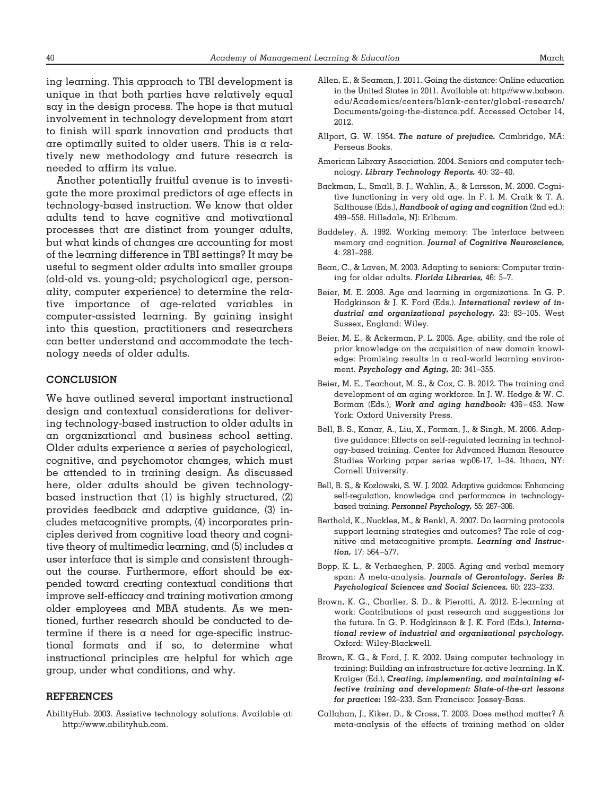ing learning. This approach to TBI development is unique in that both parties have relatively equal say in the design process. The hope is that mutual involvement in technology development from start to finish will spark innovation and products that are optimally suited to older users. This is a relatively new methodology and future research is needed to affirm its value.

Another potentially fruitful avenue is to investigate the more proximal predictors of age effects in technology-based instruction. We know that older adults tend to have cognitive and motivational processes that are distinct from younger adults, but what kinds of changes are accounting for most of the learning difference in TBI settings? It may be useful to segment older adults into smaller groups (old-old vs. young-old; psychological age, personality, computer experience) to determine the relative importance of age-related variables in computer-assisted learning. By gaining insight into this question, practitioners and researchers can better understand and accommodate the technology needs of older adults.

#### **CONCLUSION**

We have outlined several important instructional design and contextual considerations for delivering technology-based instruction to older adults in an organizational and business school setting. Older adults experience a series of psychological, cognitive, and psychomotor changes, which must be attended to in training design. As discussed here, older adults should be given technologybased instruction that (1) is highly structured, (2) provides feedback and adaptive guidance, (3) includes metacognitive prompts, (4) incorporates principles derived from cognitive load theory and cognitive theory of multimedia learning, and (5) includes a user interface that is simple and consistent throughout the course. Furthermore, effort should be expended toward creating contextual conditions that improve self-efficacy and training motivation among older employees and MBA students. As we mentioned, further research should be conducted to determine if there is a need for age-specific instructional formats and if so, to determine what instructional principles are helpful for which age group, under what conditions, and why.

#### **REFERENCES**

AbilityHub. 2003. Assistive technology solutions. Available at: [http://www.abilityhub.com.](http://www.abilityhub.com)

- Allen, E., & Seaman, J. 2011. Going the distance: Online education in the United States in 2011. Available at: [http://www.babson.](http://www.babson.edu/Academics/centers/blank-center/global-research/Documents/going-the-distance.pdf) [edu/Academics/centers/blank-center/global-research/](http://www.babson.edu/Academics/centers/blank-center/global-research/Documents/going-the-distance.pdf) [Documents/going-the-distance.pdf.](http://www.babson.edu/Academics/centers/blank-center/global-research/Documents/going-the-distance.pdf) Accessed October 14, 2012.
- Allport, G. W. 1954. *The nature of prejudice.* Cambridge, MA: Perseus Books.
- American Library Association. 2004. Seniors and computer technology. *Library Technology Reports,* 40: 32– 40.
- Backman, L., Small, B. J., Wahlin, A., & Larsson, M. 2000. Cognitive functioning in very old age. In F. I. M. Craik & T. A. Salthouse (Eds.), *Handbook of aging and cognition* (2nd ed.): 499 –558. Hillsdale, NJ: Erlbaum.
- Baddeley, A. 1992. Working memory: The interface between memory and cognition. *Journal of Cognitive Neuroscience,* 4: 281–288.
- Bean, C., & Laven, M. 2003. Adapting to seniors: Computer training for older adults. *Florida Libraries,* 46: 5–7.
- Beier, M. E. 2008. Age and learning in organizations. In G. P. Hodgkinson & J. K. Ford (Eds.). *International review of industrial and organizational psychology,* 23: 83–105. West Sussex, England: Wiley.
- Beier, M. E., & Ackerman, P. L. 2005. Age, ability, and the role of prior knowledge on the acquisition of new domain knowledge: Promising results in a real-world learning environment. *Psychology and Aging,* 20: 341–355.
- Beier, M. E., Teachout, M. S., & Cox, C. B. 2012. The training and development of an aging workforce. In J. W. Hedge & W. C. Borman (Eds.), *Work and aging handbook:* 436 – 453. New York: Oxford University Press.
- Bell, B. S., Kanar, A., Liu, X., Forman, J., & Singh, M. 2006. Adaptive guidance: Effects on self-regulated learning in technology-based training. Center for Advanced Human Resource Studies Working paper series wp06-17, 1–34. Ithaca, NY: Cornell University.
- Bell, B. S., & Kozlowski, S. W. J. 2002. Adaptive guidance: Enhancing self-regulation, knowledge and performance in technologybased training. *Personnel Psychology,* 55: 267–306.
- Berthold, K., Nuckles, M., & Renkl, A. 2007. Do learning protocols support learning strategies and outcomes? The role of cognitive and metacognitive prompts. *Learning and Instruction,* 17: 564 –577.
- Bopp, K. L., & Verhaeghen, P. 2005. Aging and verbal memory span: A meta-analysis. *Journals of Gerontology. Series B: Psychological Sciences and Social Sciences,* 60: 223–233.
- Brown, K. G., Charlier, S. D., & Pierotti, A. 2012. E-learning at work: Contributions of past research and suggestions for the future. In G. P. Hodgkinson & J. K. Ford (Eds.), *International review of industrial and organizational psychology.* Oxford: Wiley-Blackwell.
- Brown, K. G., & Ford, J. K. 2002. Using computer technology in training: Building an infrastructure for active learning. In K. Kraiger (Ed.), *Creating, implementing, and maintaining effective training and development: State-of-the-art lessons for practice:* 192–233. San Francisco: Jossey-Bass.
- Callahan, J., Kiker, D., & Cross, T. 2003. Does method matter? A meta-analysis of the effects of training method on older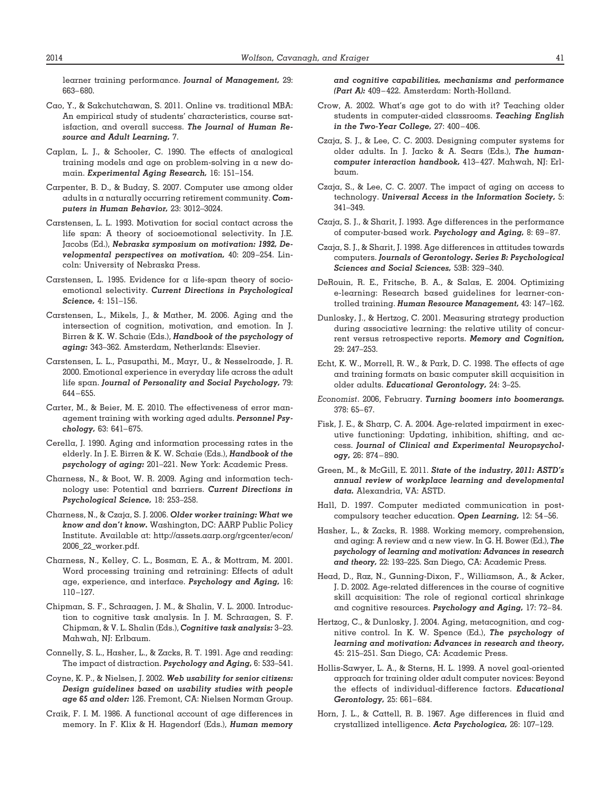learner training performance. *Journal of Management,* 29: 663– 680.

- Cao, Y., & Sakchutchawan, S. 2011. Online vs. traditional MBA: An empirical study of students' characteristics, course satisfaction, and overall success. *The Journal of Human Resource and Adult Learning,* 7.
- Caplan, L. J., & Schooler, C. 1990. The effects of analogical training models and age on problem-solving in a new domain. *Experimental Aging Research,* 16: 151–154.
- Carpenter, B. D., & Buday, S. 2007. Computer use among older adults in a naturally occurring retirement community. *Computers in Human Behavior,* 23: 3012–3024.
- Carstensen, L. L. 1993. Motivation for social contact across the life span: A theory of socioemotional selectivity. In J.E. Jacobs (Ed.), *Nebraska symposium on motivation: 1992, Developmental perspectives on motivation,* 40: 209 –254. Lincoln: University of Nebraska Press.
- Carstensen, L. 1995. Evidence for a life-span theory of socioemotional selectivity. *Current Directions in Psychological Science,* 4: 151–156.
- Carstensen, L., Mikels, J., & Mather, M. 2006. Aging and the intersection of cognition, motivation, and emotion. In J. Birren & K. W. Schaie (Eds.), *Handbook of the psychology of aging:* 343–362. Amsterdam, Netherlands: Elsevier.
- Carstensen, L. L., Pasupathi, M., Mayr, U., & Nesselroade, J. R. 2000. Emotional experience in everyday life across the adult life span. *Journal of Personality and Social Psychology,* 79:  $644 - 655$
- Carter, M., & Beier, M. E. 2010. The effectiveness of error management training with working aged adults. *Personnel Psychology,* 63: 641– 675.
- Cerella, J. 1990. Aging and information processing rates in the elderly. In J. E. Birren & K. W. Schaie (Eds.), *Handbook of the psychology of aging:* 201–221. New York: Academic Press.
- Charness, N., & Boot, W. R. 2009. Aging and information technology use: Potential and barriers. *Current Directions in Psychological Science,* 18: 253–258.
- Charness, N., & Czaja, S. J. 2006. *Older worker training: What we know and don't know.* Washington, DC: AARP Public Policy Institute. Available at: [http://assets.aarp.org/rgcenter/econ/](http://assets.aarp.org/rgcenter/econ/2006_22_worker.pdf) [2006\\_22\\_worker.pdf.](http://assets.aarp.org/rgcenter/econ/2006_22_worker.pdf)
- Charness, N., Kelley, C. L., Bosman, E. A., & Mottram, M. 2001. Word processing training and retraining: Effects of adult age, experience, and interface. *Psychology and Aging,* 16: 110 –127.
- Chipman, S. F., Schraagen, J. M., & Shalin, V. L. 2000. Introduction to cognitive task analysis. In J. M. Schraagen, S. F. Chipman, & V. L. Shalin (Eds.), *Cognitive task analysis:* 3–23. Mahwah, NJ: Erlbaum.
- Connelly, S. L., Hasher, L., & Zacks, R. T. 1991. Age and reading: The impact of distraction. *Psychology and Aging,* 6: 533–541.
- Coyne, K. P., & Nielsen, J. 2002. *Web usability for senior citizens: Design guidelines based on usability studies with people age 65 and older:* 126. Fremont, CA: Nielsen Norman Group.
- Craik, F. I. M. 1986. A functional account of age differences in memory. In F. Klix & H. Hagendorf (Eds.), *Human memory*

*and cognitive capabilities, mechanisms and performance (Part A):* 409 – 422. Amsterdam: North-Holland.

- Crow, A. 2002. What's age got to do with it? Teaching older students in computer-aided classrooms. *Teaching English in the Two-Year College,* 27: 400 – 406.
- Czaja, S. J., & Lee, C. C. 2003. Designing computer systems for older adults. In J. Jacko & A. Sears (Eds.), *The humancomputer interaction handbook,* 413– 427. Mahwah, NJ: Erlbaum.
- Czaja, S., & Lee, C. C. 2007. The impact of aging on access to technology. *Universal Access in the Information Society,* 5: 341–349.
- Czaja, S. J., & Sharit, J. 1993. Age differences in the performance of computer-based work. *Psychology and Aging,* 8: 69 – 87.
- Czaja, S. J., & Sharit, J. 1998. Age differences in attitudes towards computers. *Journals of Gerontology. Series B: Psychological Sciences and Social Sciences,* 53B: 329 –340.
- DeRouin, R. E., Fritsche, B. A., & Salas, E. 2004. Optimizing e-learning: Research based guidelines for learner-controlled training. *Human Resource Management,* 43: 147–162.
- Dunlosky, J., & Hertzog, C. 2001. Measuring strategy production during associative learning: the relative utility of concurrent versus retrospective reports. *Memory and Cognition,* 29: 247–253.
- Echt, K. W., Morrell, R. W., & Park, D. C. 1998. The effects of age and training formats on basic computer skill acquisition in older adults. *Educational Gerontology,* 24: 3–25.
- *Economist*. 2006, February. *Turning boomers into boomerangs.* 378: 65– 67.
- Fisk, J. E., & Sharp, C. A. 2004. Age-related impairment in executive functioning: Updating, inhibition, shifting, and access. *Journal of Clinical and Experimental Neuropsychology,* 26: 874 – 890.
- Green, M., & McGill, E. 2011. *State of the industry, 2011: ASTD's annual review of workplace learning and developmental data.* Alexandria, VA: ASTD.
- Hall, D. 1997. Computer mediated communication in postcompulsory teacher education. *Open Learning,* 12: 54 –56.
- Hasher, L., & Zacks, R. 1988. Working memory, comprehension, and aging: A review and a new view. In G. H. Bower (Ed.), *The psychology of learning and motivation: Advances in research and theory,* 22: 193–225. San Diego, CA: Academic Press.
- Head, D., Raz, N., Gunning-Dixon, F., Williamson, A., & Acker, J. D. 2002. Age-related differences in the course of cognitive skill acquisition: The role of regional cortical shrinkage and cognitive resources. *Psychology and Aging,* 17: 72– 84.
- Hertzog, C., & Dunlosky, J. 2004. Aging, metacognition, and cognitive control. In K. W. Spence (Ed.), *The psychology of learning and motivation: Advances in research and theory,* 45: 215–251. San Diego, CA: Academic Press.
- Hollis-Sawyer, L. A., & Sterns, H. L. 1999. A novel goal-oriented approach for training older adult computer novices: Beyond the effects of individual-difference factors. *Educational Gerontology,* 25: 661– 684.
- Horn, J. L., & Cattell, R. B. 1967. Age differences in fluid and crystallized intelligence. *Acta Psychologica,* 26: 107–129.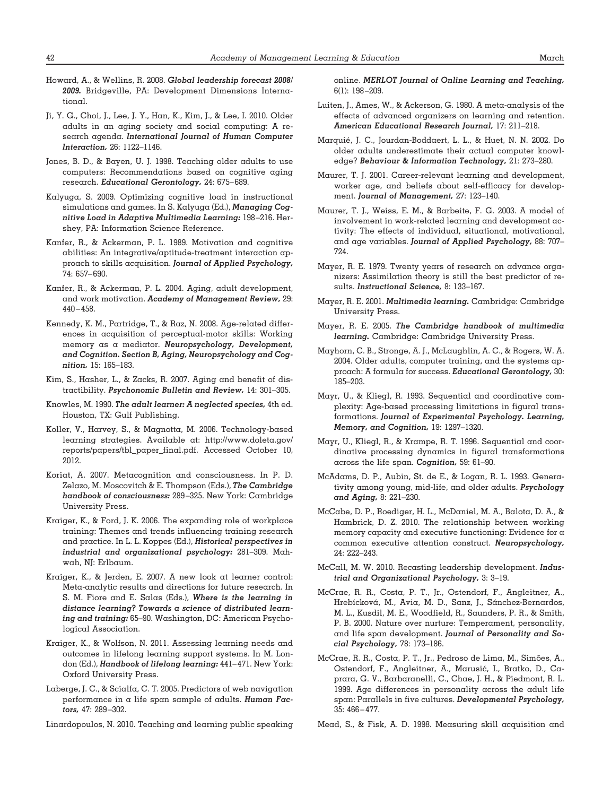- Howard, A., & Wellins, R. 2008. *Global leadership forecast 2008/ 2009.* Bridgeville, PA: Development Dimensions International.
- Ji, Y. G., Choi, J., Lee, J. Y., Han, K., Kim, J., & Lee, I. 2010. Older adults in an aging society and social computing: A research agenda. *International Journal of Human Computer Interaction,* 26: 1122–1146.
- Jones, B. D., & Bayen, U. J. 1998. Teaching older adults to use computers: Recommendations based on cognitive aging research. *Educational Gerontology,* 24: 675– 689.
- Kalyuga, S. 2009. Optimizing cognitive load in instructional simulations and games. In S. Kalyuga (Ed.), *Managing Cognitive Load in Adaptive Multimedia Learning:* 198 –216. Hershey, PA: Information Science Reference.
- Kanfer, R., & Ackerman, P. L. 1989. Motivation and cognitive abilities: An integrative/aptitude-treatment interaction approach to skills acquisition. *Journal of Applied Psychology,* 74: 657– 690.
- Kanfer, R., & Ackerman, P. L. 2004. Aging, adult development, and work motivation. *Academy of Management Review,* 29:  $440 - 458$
- Kennedy, K. M., Partridge, T., & Raz, N. 2008. Age-related differences in acquisition of perceptual-motor skills: Working memory as a mediator. *Neuropsychology, Development, and Cognition. Section B, Aging, Neuropsychology and Cognition,* 15: 165–183.
- Kim, S., Hasher, L., & Zacks, R. 2007. Aging and benefit of distractibility. *Psychonomic Bulletin and Review,* 14: 301–305.
- Knowles, M. 1990. *The adult learner: A neglected species,* 4th ed. Houston, TX: Gulf Publishing.
- Koller, V., Harvey, S., & Magnotta, M. 2006. Technology-based learning strategies. Available at: [http://www.doleta.gov/](http://www.doleta.gov/reports/papers/tbl_paper_final.pdf) [reports/papers/tbl\\_paper\\_final.pdf.](http://www.doleta.gov/reports/papers/tbl_paper_final.pdf) Accessed October 10, 2012.
- Koriat, A. 2007. Metacognition and consciousness. In P. D. Zelazo, M. Moscovitch & E. Thompson (Eds.), *The Cambridge handbook of consciousness:* 289 –325. New York: Cambridge University Press.
- Kraiger, K., & Ford, J. K. 2006. The expanding role of workplace training: Themes and trends influencing training research and practice. In L. L. Koppes (Ed.), *Historical perspectives in industrial and organizational psychology:* 281–309. Mahwah, NJ: Erlbaum.
- Kraiger, K., & Jerden, E. 2007. A new look at learner control: Meta-analytic results and directions for future research. In S. M. Fiore and E. Salas (Eds.), *Where is the learning in distance learning? Towards a science of distributed learning and training:* 65–90. Washington, DC: American Psychological Association.
- Kraiger, K., & Wolfson, N. 2011. Assessing learning needs and outcomes in lifelong learning support systems. In M. London (Ed.), *Handbook of lifelong learning:* 441– 471. New York: Oxford University Press.
- Laberge, J. C., & Scialfa, C. T. 2005. Predictors of web navigation performance in a life span sample of adults. *Human Factors,* 47: 289 –302.
- Linardopoulos, N. 2010. Teaching and learning public speaking

online. *MERLOT Journal of Online Learning and Teaching,* 6(1): 198 –209.

- Luiten, J., Ames, W., & Ackerson, G. 1980. A meta-analysis of the effects of advanced organizers on learning and retention. *American Educational Research Journal,* 17: 211–218.
- Marquié, J. C., Jourdan-Boddaert, L. L., & Huet, N. N. 2002. Do older adults underestimate their actual computer knowledge? *Behaviour & Information Technology,* 21: 273–280.
- Maurer, T. J. 2001. Career-relevant learning and development, worker age, and beliefs about self-efficacy for development. *Journal of Management,* 27: 123–140.
- Maurer, T. J., Weiss, E. M., & Barbeite, F. G. 2003. A model of involvement in work-related learning and development activity: The effects of individual, situational, motivational, and age variables. *Journal of Applied Psychology,* 88: 707– 724.
- Mayer, R. E. 1979. Twenty years of research on advance organizers: Assimilation theory is still the best predictor of results. *Instructional Science,* 8: 133–167.
- Mayer, R. E. 2001. *Multimedia learning.* Cambridge: Cambridge University Press.
- Mayer, R. E. 2005. *The Cambridge handbook of multimedia learning.* Cambridge: Cambridge University Press.
- Mayhorn, C. B., Stronge, A. J., McLaughlin, A. C., & Rogers, W. A. 2004. Older adults, computer training, and the systems approach: A formula for success. *Educational Gerontology,* 30: 185–203.
- Mayr, U., & Kliegl, R. 1993. Sequential and coordinative complexity: Age-based processing limitations in figural transformations. *Journal of Experimental Psychology. Learning, Memory, and Cognition,* 19: 1297–1320.
- Mayr, U., Kliegl, R., & Krampe, R. T. 1996. Sequential and coordinative processing dynamics in figural transformations across the life span. *Cognition,* 59: 61–90.
- McAdams, D. P., Aubin, St. de E., & Logan, R. L. 1993. Generativity among young, mid-life, and older adults. *Psychology and Aging,* 8: 221–230.
- McCabe, D. P., Roediger, H. L., McDaniel, M. A., Balota, D. A., & Hambrick, D. Z. 2010. The relationship between working memory capacity and executive functioning: Evidence for a common executive attention construct. *Neuropsychology,* 24: 222–243.
- McCall, M. W. 2010. Recasting leadership development. *Industrial and Organizational Psychology,* 3: 3–19.
- McCrae, R. R., Costa, P. T., Jr., Ostendorf, F., Angleitner, A., Hrebícková, M., Avia, M. D., Sanz, J., Sánchez-Bernardos, M. L., Kusdil, M. E., Woodfield, R., Saunders, P. R., & Smith, P. B. 2000. Nature over nurture: Temperament, personality, and life span development. *Journal of Personality and Social Psychology,* 78: 173–186.
- McCrae, R. R., Costa, P. T., Jr., Pedroso de Lima, M., Simões, A., Ostendorf, F., Angleitner, A., Marusić, I., Bratko, D., Caprara, G. V., Barbaranelli, C., Chae, J. H., & Piedmont, R. L. 1999. Age differences in personality across the adult life span: Parallels in five cultures. *Developmental Psychology,* 35: 466 – 477.
- Mead, S., & Fisk, A. D. 1998. Measuring skill acquisition and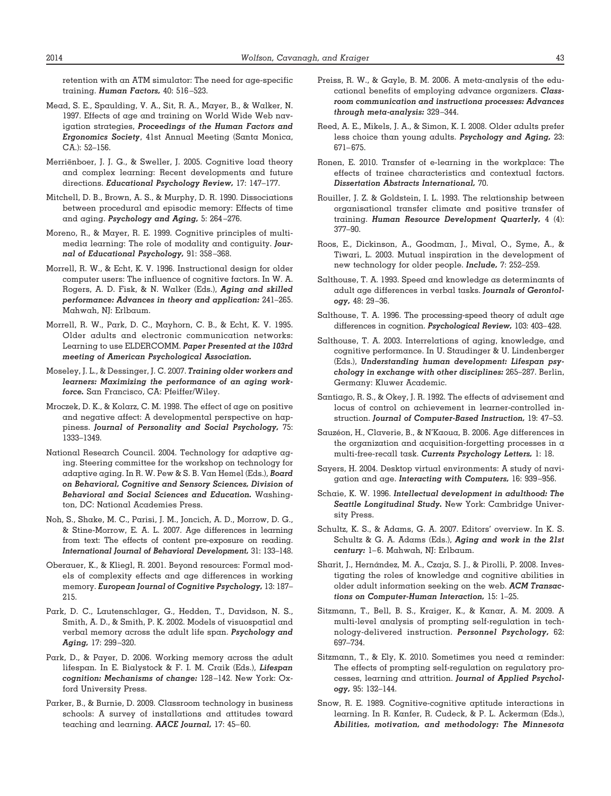retention with an ATM simulator: The need for age-specific training. *Human Factors,* 40: 516 –523.

- Mead, S. E., Spaulding, V. A., Sit, R. A., Mayer, B., & Walker, N. 1997. Effects of age and training on World Wide Web navigation strategies, *Proceedings of the Human Factors and Ergonomics Society*, 41st Annual Meeting (Santa Monica, CA.): 52–156.
- Merriënboer, J. J. G., & Sweller, J. 2005. Cognitive load theory and complex learning: Recent developments and future directions. *Educational Psychology Review,* 17: 147–177.
- Mitchell, D. B., Brown, A. S., & Murphy, D. R. 1990. Dissociations between procedural and episodic memory: Effects of time and aging. *Psychology and Aging,* 5: 264 –276.
- Moreno, R., & Mayer, R. E. 1999. Cognitive principles of multimedia learning: The role of modality and contiguity. *Journal of Educational Psychology,* 91: 358 –368.
- Morrell, R. W., & Echt, K. V. 1996. Instructional design for older computer users: The influence of cognitive factors. In W. A. Rogers, A. D. Fisk, & N. Walker (Eds.), *Aging and skilled performance: Advances in theory and application:* 241–265. Mahwah, NJ: Erlbaum.
- Morrell, R. W., Park, D. C., Mayhorn, C. B., & Echt, K. V. 1995. Older adults and electronic communication networks: Learning to use ELDERCOMM. *Paper Presented at the 103rd meeting of American Psychological Association.*
- Moseley, J. L., & Dessinger, J. C. 2007. *Training older workers and learners: Maximizing the performance of an aging workforce.* San Francisco, CA: Pfeiffer/Wiley.
- Mroczek, D. K., & Kolarz, C. M. 1998. The effect of age on positive and negative affect: A developmental perspective on happiness. *Journal of Personality and Social Psychology,* 75: 1333–1349.
- National Research Council. 2004. Technology for adaptive aging. Steering committee for the workshop on technology for adaptive aging. In R. W. Pew & S. B. Van Hemel (Eds.), *Board on Behavioral, Cognitive and Sensory Sciences, Division of Behavioral and Social Sciences and Education.* Washington, DC: National Academies Press.
- Noh, S., Shake, M. C., Parisi, J. M., Joncich, A. D., Morrow, D. G., & Stine-Morrow, E. A. L. 2007. Age differences in learning from text: The effects of content pre-exposure on reading. *International Journal of Behavioral Development,* 31: 133–148.
- Oberauer, K., & Kliegl, R. 2001. Beyond resources: Formal models of complexity effects and age differences in working memory. *European Journal of Cognitive Psychology,* 13: 187– 215.
- Park, D. C., Lautenschlager, G., Hedden, T., Davidson, N. S., Smith, A. D., & Smith, P. K. 2002. Models of visuospatial and verbal memory across the adult life span. *Psychology and Aging,* 17: 299 –320.
- Park, D., & Payer, D. 2006. Working memory across the adult lifespan. In E. Bialystock & F. I. M. Craik (Eds.), *Lifespan cognition: Mechanisms of change:* 128 –142. New York: Oxford University Press.
- Parker, B., & Burnie, D. 2009. Classroom technology in business schools: A survey of installations and attitudes toward teaching and learning. *AACE Journal,* 17: 45– 60.
- Preiss, R. W., & Gayle, B. M. 2006. A meta-analysis of the educational benefits of employing advance organizers. *Classroom communication and instructiona processes: Advances through meta-analysis:* 329 –344.
- Reed, A. E., Mikels, J. A., & Simon, K. I. 2008. Older adults prefer less choice than young adults. *Psychology and Aging,* 23: 671– 675.
- Ronen, E. 2010. Transfer of e-learning in the workplace: The effects of trainee characteristics and contextual factors. *Dissertation Abstracts International,* 70.
- Rouiller, J. Z. & Goldstein, I. L. 1993. The relationship between organisational transfer climate and positive transfer of training. *Human Resource Development Quarterly,* 4 (4): 377–90.
- Roos, E., Dickinson, A., Goodman, J., Mival, O., Syme, A., & Tiwari, L. 2003. Mutual inspiration in the development of new technology for older people. *Include,* 7: 252–259.
- Salthouse, T. A. 1993. Speed and knowledge as determinants of adult age differences in verbal tasks. *Journals of Gerontology,* 48: 29 –36.
- Salthouse, T. A. 1996. The processing-speed theory of adult age differences in cognition. *Psychological Review,* 103: 403– 428.
- Salthouse, T. A. 2003. Interrelations of aging, knowledge, and cognitive performance. In U. Staudinger & U. Lindenberger (Eds.), *Understanding human development: Lifespan psychology in exchange with other disciplines:* 265–287. Berlin, Germany: Kluwer Academic.
- Santiago, R. S., & Okey, J. R. 1992. The effects of advisement and locus of control on achievement in learner-controlled instruction. *Journal of Computer-Based Instruction,* 19: 47–53.
- Sauzéon, H., Claverie, B., & N'Kaoua, B. 2006. Age differences in the organization and acquisition-forgetting processes in a multi-free-recall task. *Currents Psychology Letters,* 1: 18.
- Sayers, H. 2004. Desktop virtual environments: A study of navigation and age. *Interacting with Computers,* 16: 939 –956.
- Schaie, K. W. 1996. *Intellectual development in adulthood: The Seattle Longitudinal Study.* New York: Cambridge University Press.
- Schultz, K. S., & Adams, G. A. 2007. Editors' overview. In K. S. Schultz & G. A. Adams (Eds.), *Aging and work in the 21st century:* 1– 6. Mahwah, NJ: Erlbaum.
- Sharit, J., Hernández, M. A., Czaja, S. J., & Pirolli, P. 2008. Investigating the roles of knowledge and cognitive abilities in older adult information seeking on the web. *ACM Transactions on Computer-Human Interaction,* 15: 1–25.
- Sitzmann, T., Bell, B. S., Kraiger, K., & Kanar, A. M. 2009. A multi-level analysis of prompting self-regulation in technology-delivered instruction. *Personnel Psychology,* 62: 697–734.
- Sitzmann, T., & Ely, K. 2010. Sometimes you need a reminder: The effects of prompting self-regulation on regulatory processes, learning and attrition. *Journal of Applied Psychology,* 95: 132–144.
- Snow, R. E. 1989. Cognitive-cognitive aptitude interactions in learning. In R. Kanfer, R. Cudeck, & P. L. Ackerman (Eds.), *Abilities, motivation, and methodology: The Minnesota*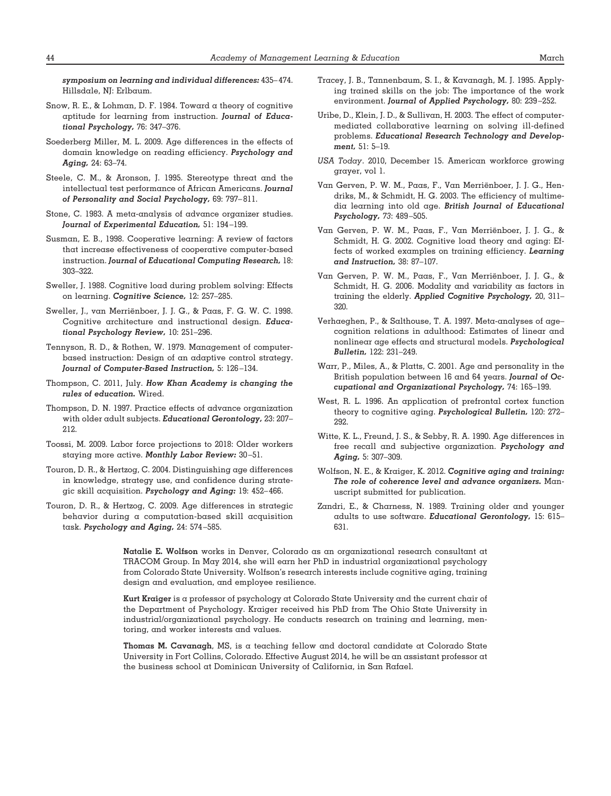*symposium on learning and individual differences:* 435– 474. Hillsdale, NJ: Erlbaum.

- Snow, R. E., & Lohman, D. F. 1984. Toward a theory of cognitive aptitude for learning from instruction. *Journal of Educational Psychology,* 76: 347–376.
- Soederberg Miller, M. L. 2009. Age differences in the effects of domain knowledge on reading efficiency. *Psychology and Aging,* 24: 63–74.
- Steele, C. M., & Aronson, J. 1995. Stereotype threat and the intellectual test performance of African Americans. *Journal of Personality and Social Psychology,* 69: 797– 811.
- Stone, C. 1983. A meta-analysis of advance organizer studies. *Journal of Experimental Education,* 51: 194 –199.
- Susman, E. B., 1998. Cooperative learning: A review of factors that increase effectiveness of cooperative computer-based instruction. *Journal of Educational Computing Research,* 18: 303–322.
- Sweller, J. 1988. Cognitive load during problem solving: Effects on learning. *Cognitive Science,* 12: 257–285.
- Sweller, J., van Merriënboer, J. J. G., & Paas, F. G. W. C. 1998. Cognitive architecture and instructional design. *Educational Psychology Review,* 10: 251–296.
- Tennyson, R. D., & Rothen, W. 1979. Management of computerbased instruction: Design of an adaptive control strategy. *Journal of Computer-Based Instruction,* 5: 126 –134.
- Thompson, C. 2011, July. *How Khan Academy is changing the rules of education.* Wired.
- Thompson, D. N. 1997. Practice effects of advance organization with older adult subjects. *Educational Gerontology,* 23: 207– 212.
- Toossi, M. 2009. Labor force projections to 2018: Older workers staying more active. *Monthly Labor Review:* 30 –51.
- Touron, D. R., & Hertzog, C. 2004. Distinguishing age differences in knowledge, strategy use, and confidence during strategic skill acquisition. *Psychology and Aging:* 19: 452– 466.
- Touron, D. R., & Hertzog, C. 2009. Age differences in strategic behavior during a computation-based skill acquisition task. *Psychology and Aging,* 24: 574 –585.
- Tracey, J. B., Tannenbaum, S. I., & Kavanagh, M. J. 1995. Applying trained skills on the job: The importance of the work environment. *Journal of Applied Psychology,* 80: 239 –252.
- Uribe, D., Klein, J. D., & Sullivan, H. 2003. The effect of computermediated collaborative learning on solving ill-defined problems. *Educational Research Technology and Development,* 51: 5–19.
- *USA Today*. 2010, December 15. American workforce growing grayer, vol 1.
- Van Gerven, P. W. M., Paas, F., Van Merriënboer, J. J. G., Hendriks, M., & Schmidt, H. G. 2003. The efficiency of multimedia learning into old age. *British Journal of Educational Psychology, 73*: 489 –505.
- Van Gerven, P. W. M., Paas, F., Van Merriënboer, J. J. G., & Schmidt, H. G. 2002. Cognitive load theory and aging: Effects of worked examples on training efficiency. *Learning and Instruction,* 38: 87–107.
- Van Gerven, P. W. M., Paas, F., Van Merriënboer, J. J. G., & Schmidt, H. G. 2006. Modality and variability as factors in training the elderly. *Applied Cognitive Psychology,* 20, 311– 320.
- Verhaeghen, P., & Salthouse, T. A. 1997. Meta-analyses of age– cognition relations in adulthood: Estimates of linear and nonlinear age effects and structural models. *Psychological Bulletin,* 122: 231–249.
- Warr, P., Miles, A., & Platts, C. 2001. Age and personality in the British population between 16 and 64 years. *Journal of Occupational and Organizational Psychology,* 74: 165–199.
- West, R. L. 1996. An application of prefrontal cortex function theory to cognitive aging. *Psychological Bulletin,* 120: 272– 292.
- Witte, K. L., Freund, J. S., & Sebby, R. A. 1990. Age differences in free recall and subjective organization. *Psychology and Aging,* 5: 307–309.
- Wolfson, N. E., & Kraiger, K. 2012. *Cognitive aging and training: The role of coherence level and advance organizers.* Manuscript submitted for publication.
- Zandri, E., & Charness, N. 1989. Training older and younger adults to use software. *Educational Gerontology,* 15: 615– 631.

**Natalie E. Wolfson** works in Denver, Colorado as an organizational research consultant at TRACOM Group. In May 2014, she will earn her PhD in industrial organizational psychology from Colorado State University. Wolfson's research interests include cognitive aging, training design and evaluation, and employee resilience.

**Kurt Kraiger** is a professor of psychology at Colorado State University and the current chair of the Department of Psychology. Kraiger received his PhD from The Ohio State University in industrial/organizational psychology. He conducts research on training and learning, mentoring, and worker interests and values.

**Thomas M. Cavanagh**, MS, is a teaching fellow and doctoral candidate at Colorado State University in Fort Collins, Colorado. Effective August 2014, he will be an assistant professor at the business school at Dominican University of California, in San Rafael.